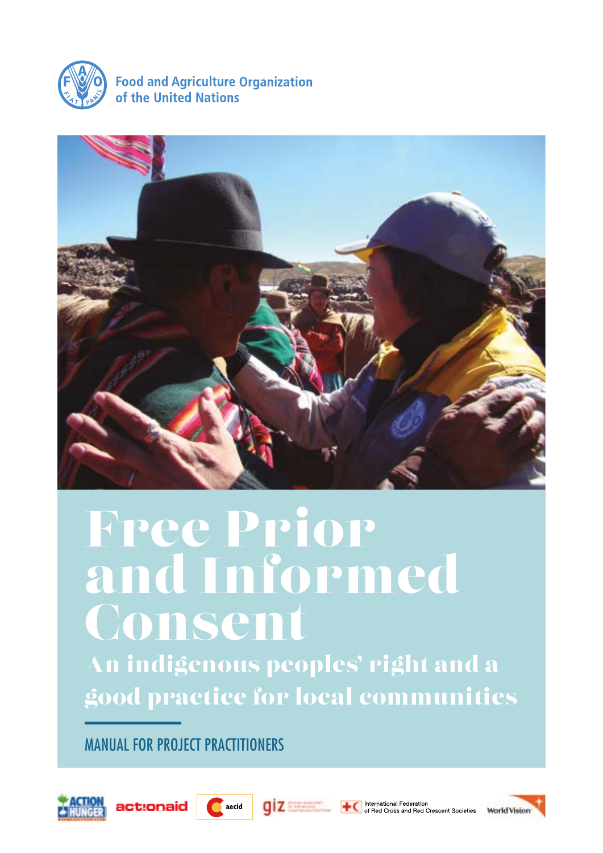

**Food and Agriculture Organization** of the United Nations



# Free Prior and Informed **Consent**

An indigenous peoples' right and a good practice for local communities

MANUAL FOR PROJECT PRACTITIONERS









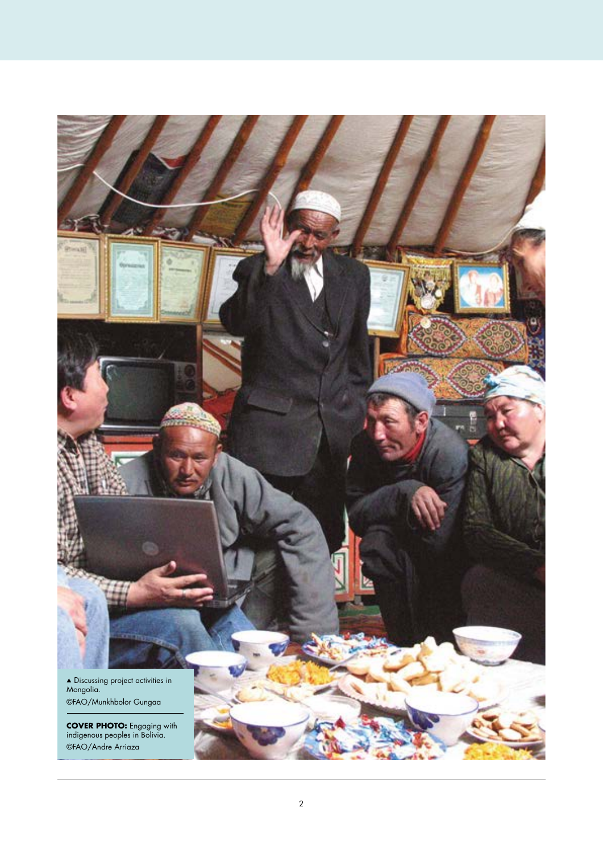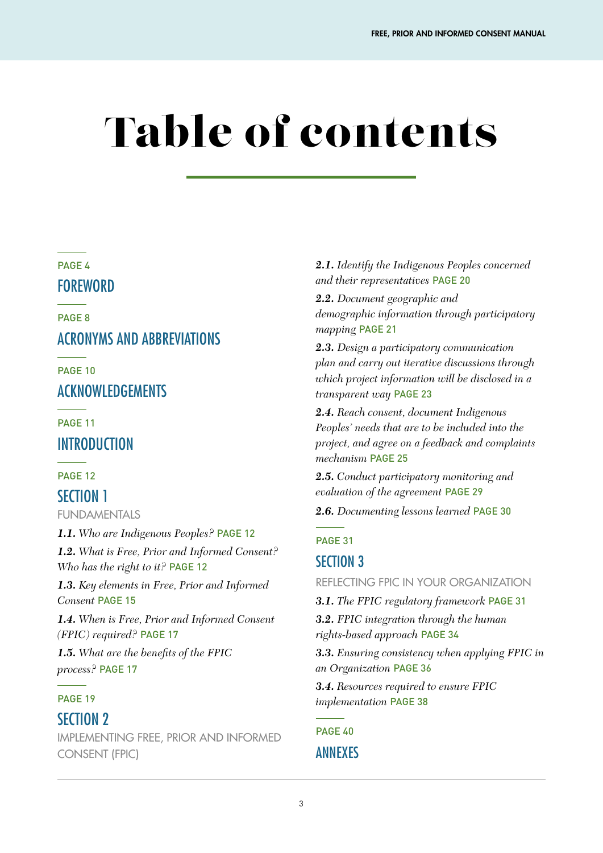# Table of contents

#### PAGE 4

### FOREWORD

PAGE 8

# ACRONYMS AND ABBREVIATIONS

PAGE 10

## ACKNOWLEDGEMENTS

PAGE 11

## **INTRODUCTION**

#### PAGE 12

### SECTION 1

FUNDAMENTALS

*1.1. Who are Indigenous Peoples?* PAGE 12 *1.2. What is Free, Prior and Informed Consent?*

*Who has the right to it?* PAGE 12

*1.3. Key elements in Free, Prior and Informed Consent* PAGE 15

*1.4. When is Free, Prior and Informed Consent (FPIC) required?* PAGE 17

*1.5. What are the benefits of the FPIC process?* PAGE 17

#### PAGE 19

### SECTION 2

IMPLEMENTING FREE, PRIOR AND INFORMED CONSENT (FPIC)

*2.1. Identify the Indigenous Peoples concerned and their representatives* PAGE 20

*2.2. Document geographic and demographic information through participatory mapping* PAGE 21

*2.3. Design a participatory communication plan and carry out iterative discussions through which project information will be disclosed in a transparent way* PAGE 23

*2.4. Reach consent, document Indigenous Peoples' needs that are to be included into the project, and agree on a feedback and complaints mechanism* PAGE 25

*2.5. Conduct participatory monitoring and evaluation of the agreement* PAGE 29

*2.6. Documenting lessons learned* PAGE 30

#### PAGE 31

# SECTION 3

REFLECTING FPIC IN YOUR ORGANIZATION

*3.1. The FPIC regulatory framework* PAGE 31

*3.2. FPIC integration through the human rights-based approach* PAGE 34

*3.3. Ensuring consistency when applying FPIC in an Organization* PAGE 36

*3.4. Resources required to ensure FPIC implementation* PAGE 38

PAGF<sub>40</sub> ANNEXES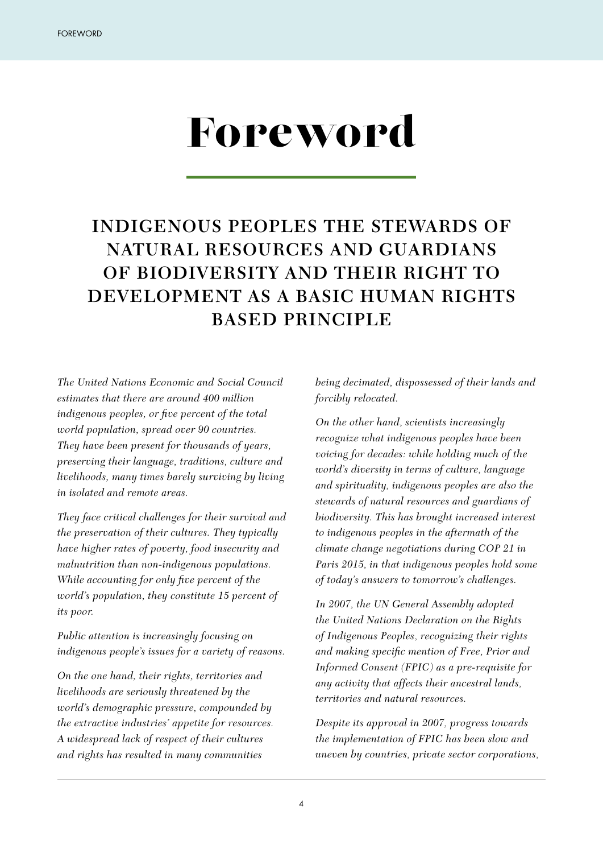# Foreword

# **INDIGENOUS PEOPLES THE STEWARDS OF NATURAL RESOURCES AND GUARDIANS OF BIODIVERSITY AND THEIR RIGHT TO DEVELOPMENT AS A BASIC HUMAN RIGHTS BASED PRINCIPLE**

*The United Nations Economic and Social Council estimates that there are around 400 million indigenous peoples, or five percent of the total world population, spread over 90 countries. They have been present for thousands of years, preserving their language, traditions, culture and livelihoods, many times barely surviving by living in isolated and remote areas.* 

*They face critical challenges for their survival and the preservation of their cultures. They typically have higher rates of poverty, food insecurity and malnutrition than non-indigenous populations. While accounting for only five percent of the world's population, they constitute 15 percent of its poor.*

*Public attention is increasingly focusing on indigenous people's issues for a variety of reasons.* 

*On the one hand, their rights, territories and livelihoods are seriously threatened by the world's demographic pressure, compounded by the extractive industries' appetite for resources. A widespread lack of respect of their cultures and rights has resulted in many communities* 

*being decimated, dispossessed of their lands and forcibly relocated.* 

*On the other hand, scientists increasingly recognize what indigenous peoples have been voicing for decades: while holding much of the world's diversity in terms of culture, language and spirituality, indigenous peoples are also the stewards of natural resources and guardians of biodiversity. This has brought increased interest to indigenous peoples in the aftermath of the climate change negotiations during COP 21 in Paris 2015, in that indigenous peoples hold some of today's answers to tomorrow's challenges.* 

*In 2007, the UN General Assembly adopted the United Nations Declaration on the Rights of Indigenous Peoples, recognizing their rights and making specific mention of Free, Prior and Informed Consent (FPIC) as a pre-requisite for any activity that affects their ancestral lands, territories and natural resources.*

*Despite its approval in 2007, progress towards the implementation of FPIC has been slow and uneven by countries, private sector corporations,*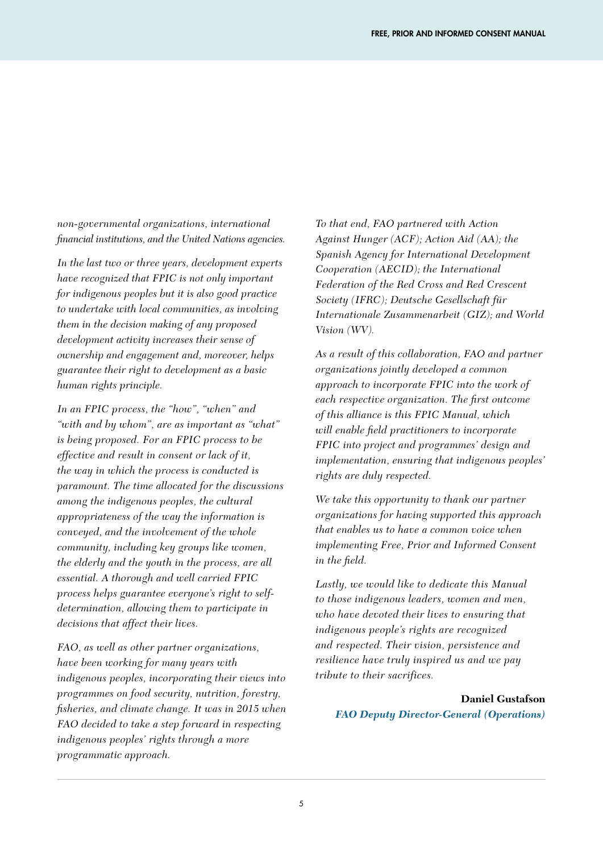*non-governmental organizations, international financial institutions, and the United Nations agencies.*

*In the last two or three years, development experts have recognized that FPIC is not only important for indigenous peoples but it is also good practice to undertake with local communities, as involving them in the decision making of any proposed development activity increases their sense of ownership and engagement and, moreover, helps guarantee their right to development as a basic human rights principle.* 

*In an FPIC process, the "how", "when" and "with and by whom", are as important as "what" is being proposed. For an FPIC process to be effective and result in consent or lack of it, the way in which the process is conducted is paramount. The time allocated for the discussions among the indigenous peoples, the cultural appropriateness of the way the information is conveyed, and the involvement of the whole community, including key groups like women, the elderly and the youth in the process, are all essential. A thorough and well carried FPIC process helps guarantee everyone's right to selfdetermination, allowing them to participate in decisions that affect their lives.*

*FAO, as well as other partner organizations, have been working for many years with indigenous peoples, incorporating their views into programmes on food security, nutrition, forestry, fisheries, and climate change. It was in 2015 when FAO decided to take a step forward in respecting indigenous peoples' rights through a more programmatic approach.* 

*To that end, FAO partnered with Action Against Hunger (ACF); Action Aid (AA); the Spanish Agency for International Development Cooperation (AECID); the International Federation of the Red Cross and Red Crescent Society (IFRC); Deutsche Gesellschaft für Internationale Zusammenarbeit (GIZ); and World Vision (WV).*

*As a result of this collaboration, FAO and partner organizations jointly developed a common approach to incorporate FPIC into the work of each respective organization. The first outcome of this alliance is this FPIC Manual, which will enable field practitioners to incorporate FPIC into project and programmes' design and implementation, ensuring that indigenous peoples' rights are duly respected.*

*We take this opportunity to thank our partner organizations for having supported this approach that enables us to have a common voice when implementing Free, Prior and Informed Consent in the field.*

*Lastly, we would like to dedicate this Manual to those indigenous leaders, women and men, who have devoted their lives to ensuring that indigenous people's rights are recognized and respected. Their vision, persistence and resilience have truly inspired us and we pay tribute to their sacrifices.*

#### **Daniel Gustafson** *FAO Deputy Director-General (Operations)*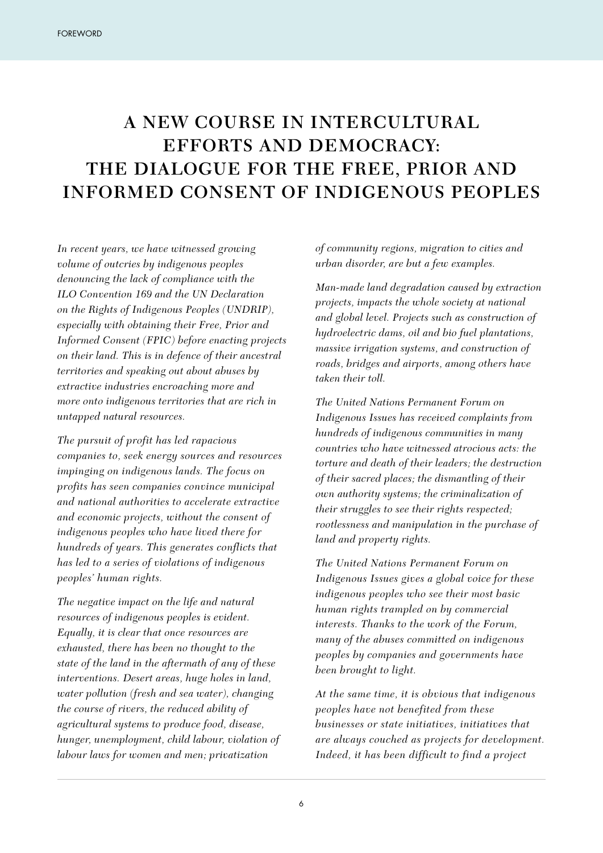# **A NEW COURSE IN INTERCULTURAL EFFORTS AND DEMOCRACY: THE DIALOGUE FOR THE FREE, PRIOR AND INFORMED CONSENT OF INDIGENOUS PEOPLES**

*In recent years, we have witnessed growing volume of outcries by indigenous peoples denouncing the lack of compliance with the ILO Convention 169 and the UN Declaration on the Rights of Indigenous Peoples (UNDRIP), especially with obtaining their Free, Prior and Informed Consent (FPIC) before enacting projects on their land. This is in defence of their ancestral territories and speaking out about abuses by extractive industries encroaching more and more onto indigenous territories that are rich in untapped natural resources.*

*The pursuit of profit has led rapacious companies to, seek energy sources and resources impinging on indigenous lands. The focus on profits has seen companies convince municipal and national authorities to accelerate extractive and economic projects, without the consent of indigenous peoples who have lived there for hundreds of years. This generates conflicts that has led to a series of violations of indigenous peoples' human rights.*

*The negative impact on the life and natural resources of indigenous peoples is evident. Equally, it is clear that once resources are exhausted, there has been no thought to the state of the land in the aftermath of any of these interventions. Desert areas, huge holes in land, water pollution (fresh and sea water), changing the course of rivers, the reduced ability of agricultural systems to produce food, disease, hunger, unemployment, child labour, violation of labour laws for women and men; privatization*

*of community regions, migration to cities and urban disorder, are but a few examples.*

*Man-made land degradation caused by extraction projects, impacts the whole society at national and global level. Projects such as construction of hydroelectric dams, oil and bio fuel plantations, massive irrigation systems, and construction of roads, bridges and airports, among others have taken their toll.* 

*The United Nations Permanent Forum on Indigenous Issues has received complaints from hundreds of indigenous communities in many countries who have witnessed atrocious acts: the torture and death of their leaders; the destruction of their sacred places; the dismantling of their own authority systems; the criminalization of their struggles to see their rights respected; rootlessness and manipulation in the purchase of land and property rights.*

*The United Nations Permanent Forum on Indigenous Issues gives a global voice for these indigenous peoples who see their most basic human rights trampled on by commercial interests. Thanks to the work of the Forum, many of the abuses committed on indigenous peoples by companies and governments have been brought to light.*

*At the same time, it is obvious that indigenous peoples have not benefited from these businesses or state initiatives, initiatives that are always couched as projects for development. Indeed, it has been difficult to find a project*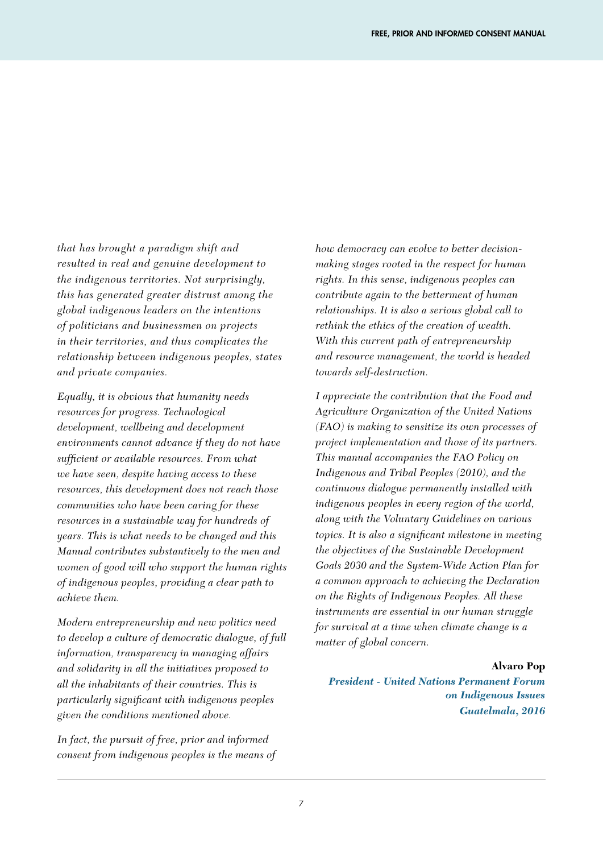*that has brought a paradigm shift and resulted in real and genuine development to the indigenous territories. Not surprisingly, this has generated greater distrust among the global indigenous leaders on the intentions of politicians and businessmen on projects in their territories, and thus complicates the relationship between indigenous peoples, states and private companies.*

*Equally, it is obvious that humanity needs resources for progress. Technological development, wellbeing and development environments cannot advance if they do not have sufficient or available resources. From what we have seen, despite having access to these resources, this development does not reach those communities who have been caring for these resources in a sustainable way for hundreds of years. This is what needs to be changed and this Manual contributes substantively to the men and women of good will who support the human rights of indigenous peoples, providing a clear path to achieve them.*

*Modern entrepreneurship and new politics need to develop a culture of democratic dialogue, of full information, transparency in managing affairs and solidarity in all the initiatives proposed to all the inhabitants of their countries. This is particularly significant with indigenous peoples given the conditions mentioned above.*

*In fact, the pursuit of free, prior and informed consent from indigenous peoples is the means of*  *how democracy can evolve to better decisionmaking stages rooted in the respect for human rights. In this sense, indigenous peoples can contribute again to the betterment of human relationships. It is also a serious global call to rethink the ethics of the creation of wealth. With this current path of entrepreneurship and resource management, the world is headed towards self-destruction.*

*I appreciate the contribution that the Food and Agriculture Organization of the United Nations (FAO) is making to sensitize its own processes of project implementation and those of its partners. This manual accompanies the FAO Policy on Indigenous and Tribal Peoples (2010), and the continuous dialogue permanently installed with indigenous peoples in every region of the world, along with the Voluntary Guidelines on various topics. It is also a significant milestone in meeting the objectives of the Sustainable Development Goals 2030 and the System-Wide Action Plan for a common approach to achieving the Declaration on the Rights of Indigenous Peoples. All these instruments are essential in our human struggle for survival at a time when climate change is a matter of global concern.*

#### **Alvaro Pop**

*President - United Nations Permanent Forum on Indigenous Issues Guatelmala, 2016*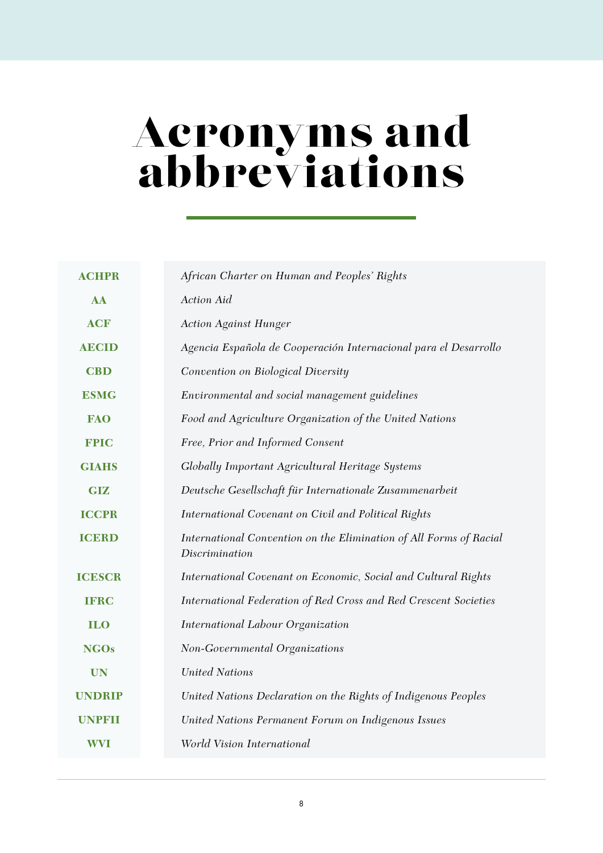# Acronyms and abbreviations

| <b>ACHPR</b>  | African Charter on Human and Peoples' Rights                                         |  |  |  |
|---------------|--------------------------------------------------------------------------------------|--|--|--|
| <b>AA</b>     | Action Aid                                                                           |  |  |  |
| <b>ACF</b>    | <b>Action Against Hunger</b>                                                         |  |  |  |
| <b>AECID</b>  | Agencia Española de Cooperación Internacional para el Desarrollo                     |  |  |  |
| <b>CBD</b>    | Convention on Biological Diversity                                                   |  |  |  |
| <b>ESMG</b>   | Environmental and social management guidelines                                       |  |  |  |
| <b>FAO</b>    | Food and Agriculture Organization of the United Nations                              |  |  |  |
| <b>FPIC</b>   | Free, Prior and Informed Consent                                                     |  |  |  |
| <b>GIAHS</b>  | Globally Important Agricultural Heritage Systems                                     |  |  |  |
| <b>GIZ</b>    | Deutsche Gesellschaft für Internationale Zusammenarbeit                              |  |  |  |
| <b>ICCPR</b>  | International Covenant on Civil and Political Rights                                 |  |  |  |
| <b>ICERD</b>  | International Convention on the Elimination of All Forms of Racial<br>Discrimination |  |  |  |
| <b>ICESCR</b> | International Covenant on Economic, Social and Cultural Rights                       |  |  |  |
| <b>IFRC</b>   | International Federation of Red Cross and Red Crescent Societies                     |  |  |  |
| <b>ILO</b>    | International Labour Organization                                                    |  |  |  |
| <b>NGOs</b>   | Non-Governmental Organizations                                                       |  |  |  |
| <b>UN</b>     | <b>United Nations</b>                                                                |  |  |  |
| <b>UNDRIP</b> | United Nations Declaration on the Rights of Indigenous Peoples                       |  |  |  |
| <b>UNPFII</b> | United Nations Permanent Forum on Indigenous Issues                                  |  |  |  |
| <b>WVI</b>    | World Vision International                                                           |  |  |  |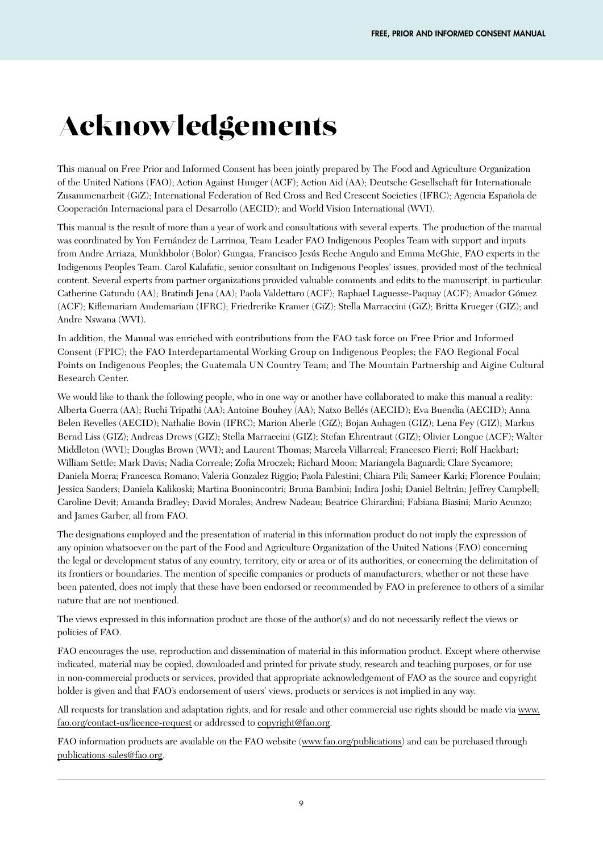# Acknowledgements

This manual on Free Prior and Informed Consent has been jointly prepared by The Food and Agriculture Organization of the United Nations (FAO); Action Against Hunger (ACF); Action Aid (AA); Deutsche Gesellschaft für Internationale Zusammenarbeit (GiZ); International Federation of Red Cross and Red Crescent Societies (IFRC); Agencia Española de Cooperación Internacional para el Desarrollo (AECID); and World Vision International (WVI).

This manual is the result of more than a year of work and consultations with several experts. The production of the manual was coordinated by Yon Fernández de Larrinoa, Team Leader FAO Indigenous Peoples Team with support and inputs from Andre Arriaza, Munkhbolor (Bolor) Gungaa, Francisco Jesús Reche Angulo and Emma McGhie, FAO experts in the Indigenous Peoples Team. Carol Kalafatic, senior consultant on Indigenous Peoples' issues, provided most of the technical content. Several experts from partner organizations provided valuable comments and edits to the manuscript, in particular: Catherine Gatundu (AA); Bratindi Jena (AA); Paola Valdettaro (ACF); Raphael Laguesse-Paquay (ACF); Amador Gómez (ACF); Kiflemariam Amdemariam (IFRC); Friedrerike Kramer (GiZ); Stella Marraccini (GiZ); Britta Krueger (GIZ); and Andre Nswana (WVI).

In addition, the Manual was enriched with contributions from the FAO task force on Free Prior and Informed Consent (FPIC); the FAO Interdepartamental Working Group on Indigenous Peoples; the FAO Regional Focal Points on Indigenous Peoples; the Guatemala UN Country Team; and The Mountain Partnership and Aigine Cultural Research Center.

We would like to thank the following people, who in one way or another have collaborated to make this manual a reality: Alberta Guerra (AA); Ruchi Tripathi (AA); Antoine Bouhey (AA); Natxo Bellés (AECID); Eva Buendia (AECID); Anna Belen Revelles (AECID); Nathalie Bovin (IFRC); Marion Aberle (GiZ); Bojan Auhagen (GIZ); Lena Fey (GIZ); Markus Bernd Liss (GIZ); Andreas Drews (GIZ); Stella Marraccini (GIZ); Stefan Ehrentraut (GIZ); Olivier Longue (ACF); Walter Middleton (WVI); Douglas Brown (WVI); and Laurent Thomas; Marcela Villarreal; Francesco Pierri; Rolf Hackbart; William Settle; Mark Davis; Nadia Correale; Zofia Mroczek; Richard Moon; Mariangela Bagnardi; Clare Sycamore; Daniela Morra; Francesca Romano; Valeria Gonzalez Riggio; Paola Palestini; Chiara Pili; Sameer Karki; Florence Poulain; Jessica Sanders; Daniela Kalikoski; Martina Buonincontri; Bruna Bambini; Indira Joshi; Daniel Beltrán; Jeffrey Campbell; Caroline Devit; Amanda Bradley; David Morales; Andrew Nadeau; Beatrice Ghirardini; Fabiana Biasini; Mario Acunzo; and James Garber, all from FAO.

The designations employed and the presentation of material in this information product do not imply the expression of any opinion whatsoever on the part of the Food and Agriculture Organization of the United Nations (FAO) concerning the legal or development status of any country, territory, city or area or of its authorities, or concerning the delimitation of its frontiers or boundaries. The mention of specific companies or products of manufacturers, whether or not these have been patented, does not imply that these have been endorsed or recommended by FAO in preference to others of a similar nature that are not mentioned.

The views expressed in this information product are those of the author(s) and do not necessarily reflect the views or policies of FAO.

FAO encourages the use, reproduction and dissemination of material in this information product. Except where otherwise indicated, material may be copied, downloaded and printed for private study, research and teaching purposes, or for use in non-commercial products or services, provided that appropriate acknowledgement of FAO as the source and copyright holder is given and that FAO's endorsement of users' views, products or services is not implied in any way.

All requests for translation and adaptation rights, and for resale and other commercial use rights should be made via www. fao.org/contact-us/licence-request or addressed to copyright@fao.org.

FAO information products are available on the FAO website (www.fao.org/publications) and can be purchased through publications-sales@fao.org.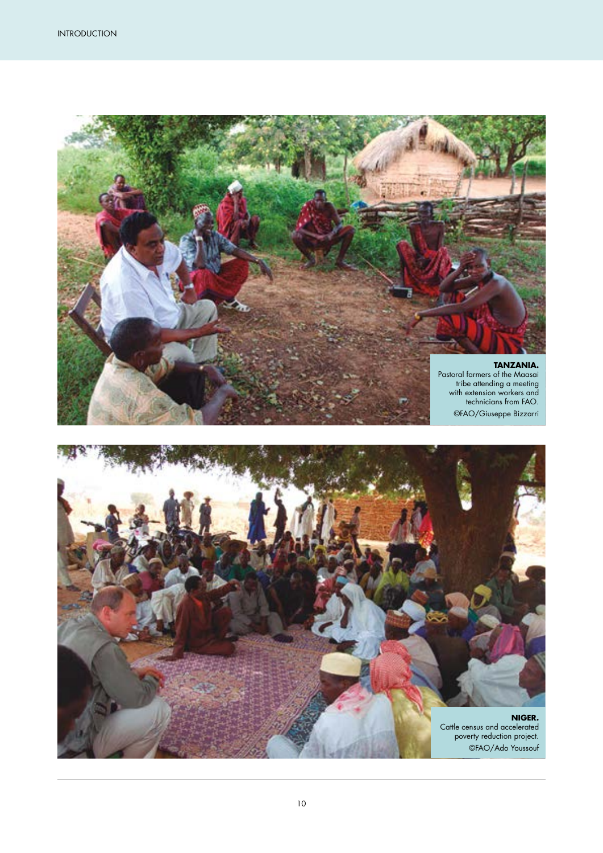

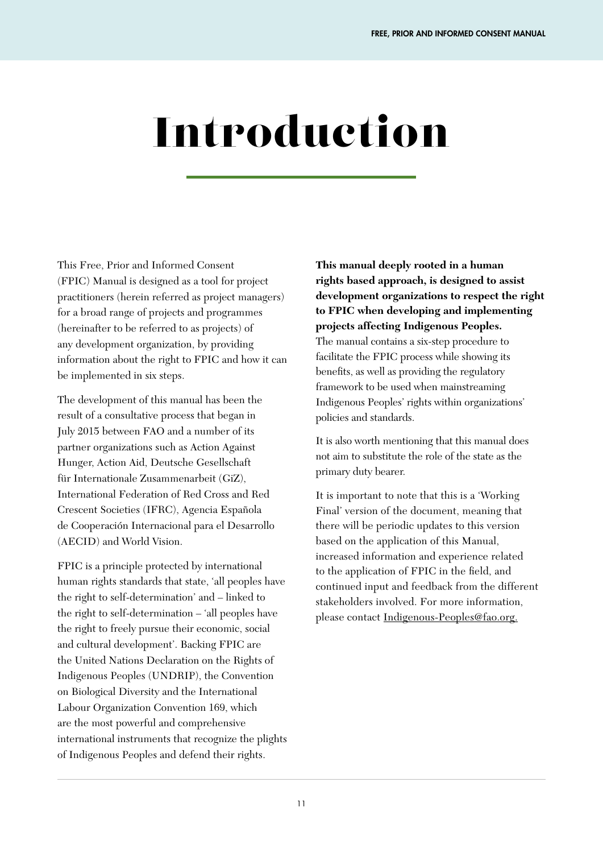# Introduction

This Free, Prior and Informed Consent (FPIC) Manual is designed as a tool for project practitioners (herein referred as project managers) for a broad range of projects and programmes (hereinafter to be referred to as projects) of any development organization, by providing information about the right to FPIC and how it can be implemented in six steps.

The development of this manual has been the result of a consultative process that began in July 2015 between FAO and a number of its partner organizations such as Action Against Hunger, Action Aid, Deutsche Gesellschaft für Internationale Zusammenarbeit (GiZ), International Federation of Red Cross and Red Crescent Societies (IFRC), Agencia Española de Cooperación Internacional para el Desarrollo (AECID) and World Vision.

FPIC is a principle protected by international human rights standards that state, 'all peoples have the right to self-determination' and – linked to the right to self-determination – 'all peoples have the right to freely pursue their economic, social and cultural development'. Backing FPIC are the United Nations Declaration on the Rights of Indigenous Peoples (UNDRIP), the Convention on Biological Diversity and the International Labour Organization Convention 169, which are the most powerful and comprehensive international instruments that recognize the plights of Indigenous Peoples and defend their rights.

**This manual deeply rooted in a human rights based approach, is designed to assist development organizations to respect the right to FPIC when developing and implementing projects affecting Indigenous Peoples.** The manual contains a six-step procedure to facilitate the FPIC process while showing its benefits, as well as providing the regulatory framework to be used when mainstreaming Indigenous Peoples' rights within organizations' policies and standards.

It is also worth mentioning that this manual does not aim to substitute the role of the state as the primary duty bearer.

It is important to note that this is a 'Working Final' version of the document, meaning that there will be periodic updates to this version based on the application of this Manual, increased information and experience related to the application of FPIC in the field, and continued input and feedback from the different stakeholders involved. For more information, please contact Indigenous-Peoples@fao.org.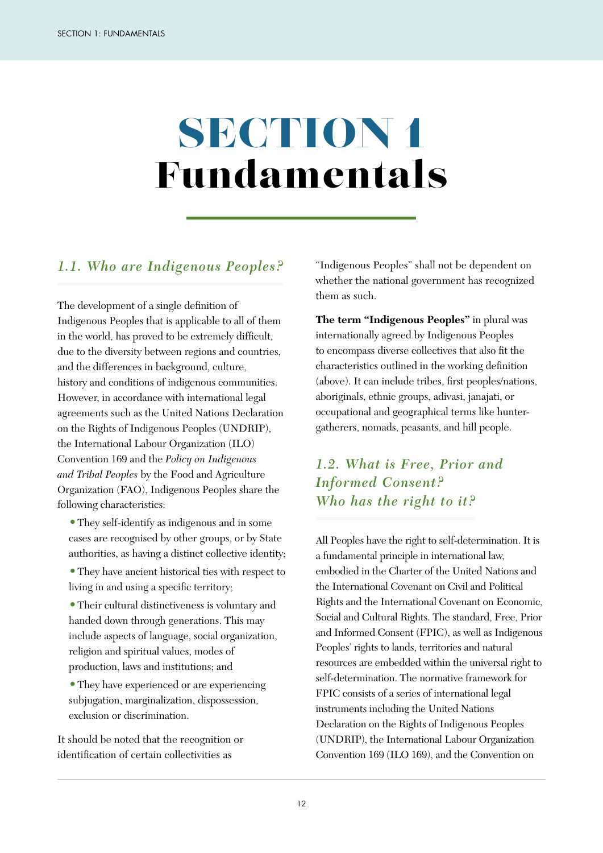# SECTION 1 Fundamentals

#### *1.1. Who are Indigenous Peoples?*

The development of a single definition of Indigenous Peoples that is applicable to all of them in the world, has proved to be extremely difficult, due to the diversity between regions and countries, and the differences in background, culture, history and conditions of indigenous communities. However, in accordance with international legal agreements such as the United Nations Declaration on the Rights of Indigenous Peoples (UNDRIP), the International Labour Organization (ILO) Convention 169 and the *Policy on Indigenous and Tribal Peoples* by the Food and Agriculture Organization (FAO), Indigenous Peoples share the following characteristics:

- **•**They self-identify as indigenous and in some cases are recognised by other groups, or by State authorities, as having a distinct collective identity;
- **•**They have ancient historical ties with respect to living in and using a specific territory;

**•**Their cultural distinctiveness is voluntary and handed down through generations. This may include aspects of language, social organization, religion and spiritual values, modes of production, laws and institutions; and

**•**They have experienced or are experiencing subjugation, marginalization, dispossession, exclusion or discrimination.

It should be noted that the recognition or identification of certain collectivities as

"Indigenous Peoples" shall not be dependent on whether the national government has recognized them as such.

**The term "Indigenous Peoples"** in plural was internationally agreed by Indigenous Peoples to encompass diverse collectives that also fit the characteristics outlined in the working definition (above). It can include tribes, first peoples/nations, aboriginals, ethnic groups, adivasi, janajati, or occupational and geographical terms like huntergatherers, nomads, peasants, and hill people.

### *1.2. What is Free, Prior and Informed Consent? Who has the right to it?*

All Peoples have the right to self-determination. It is a fundamental principle in international law, embodied in the Charter of the United Nations and the International Covenant on Civil and Political Rights and the International Covenant on Economic, Social and Cultural Rights. The standard, Free, Prior and Informed Consent (FPIC), as well as Indigenous Peoples' rights to lands, territories and natural resources are embedded within the universal right to self-determination. The normative framework for FPIC consists of a series of international legal instruments including the United Nations Declaration on the Rights of Indigenous Peoples (UNDRIP), the International Labour Organization Convention 169 (ILO 169), and the Convention on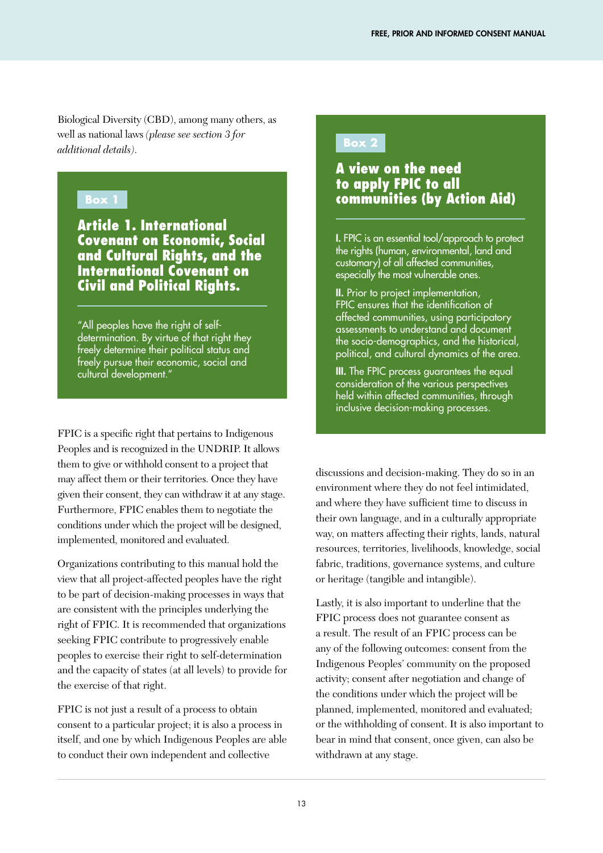Biological Diversity (CBD), among many others, as well as national laws *(please see section 3 for additional details)*.

#### **Box 1**

Article 1. International Covenant on Economic, Social and Cultural Rights, and the International Covenant on Civil and Political Rights.

"All peoples have the right of selfdetermination. By virtue of that right they freely determine their political status and freely pursue their economic, social and cultural development."

FPIC is a specific right that pertains to Indigenous Peoples and is recognized in the UNDRIP. It allows them to give or withhold consent to a project that may affect them or their territories. Once they have given their consent, they can withdraw it at any stage. Furthermore, FPIC enables them to negotiate the conditions under which the project will be designed, implemented, monitored and evaluated.

Organizations contributing to this manual hold the view that all project-affected peoples have the right to be part of decision-making processes in ways that are consistent with the principles underlying the right of FPIC. It is recommended that organizations seeking FPIC contribute to progressively enable peoples to exercise their right to self-determination and the capacity of states (at all levels) to provide for the exercise of that right.

FPIC is not just a result of a process to obtain consent to a particular project; it is also a process in itself, and one by which Indigenous Peoples are able to conduct their own independent and collective

#### **Box 2**

#### A view on the need to apply FPIC to all communities (by Action Aid)

I. FPIC is an essential tool/approach to protect the rights (human, environmental, land and customary) of all affected communities, especially the most vulnerable ones.

II. Prior to project implementation, FPIC ensures that the identification of affected communities, using participatory assessments to understand and document the socio-demographics, and the historical, political, and cultural dynamics of the area.

III. The FPIC process quarantees the equal consideration of the various perspectives held within affected communities, through inclusive decision-making processes.

discussions and decision-making. They do so in an environment where they do not feel intimidated, and where they have sufficient time to discuss in their own language, and in a culturally appropriate way, on matters affecting their rights, lands, natural resources, territories, livelihoods, knowledge, social fabric, traditions, governance systems, and culture or heritage (tangible and intangible).

Lastly, it is also important to underline that the FPIC process does not guarantee consent as a result. The result of an FPIC process can be any of the following outcomes: consent from the Indigenous Peoples' community on the proposed activity; consent after negotiation and change of the conditions under which the project will be planned, implemented, monitored and evaluated; or the withholding of consent. It is also important to bear in mind that consent, once given, can also be withdrawn at any stage.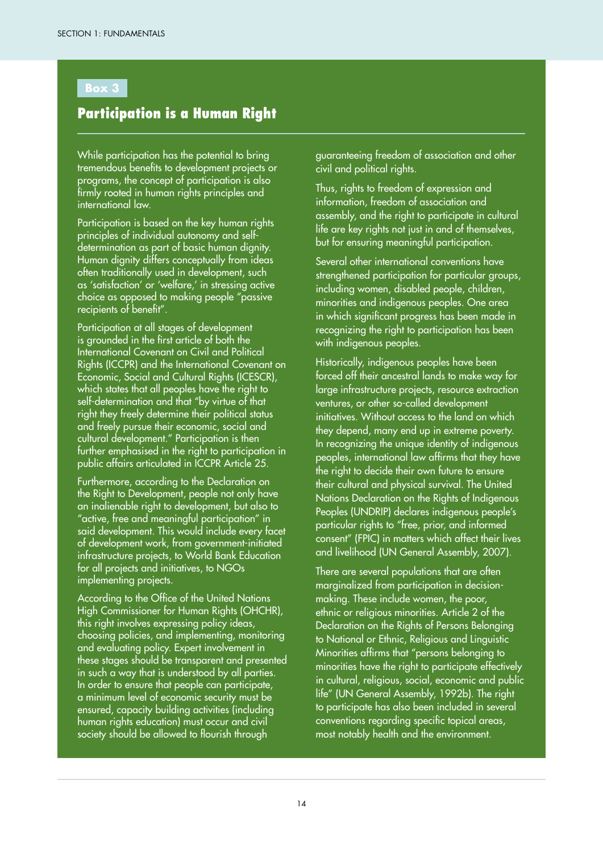#### **Box 3**

#### Participation is a Human Right

While participation has the potential to bring tremendous benefits to development projects or programs, the concept of participation is also firmly rooted in human rights principles and international law.

Participation is based on the key human rights principles of individual autonomy and selfdetermination as part of basic human dignity. Human dignity differs conceptually from ideas often traditionally used in development, such as 'satisfaction' or 'welfare,' in stressing active choice as opposed to making people "passive recipients of benefit".

Participation at all stages of development is grounded in the first article of both the International Covenant on Civil and Political Rights (ICCPR) and the International Covenant on Economic, Social and Cultural Rights (ICESCR), which states that all peoples have the right to self-determination and that "by virtue of that right they freely determine their political status and freely pursue their economic, social and cultural development." Participation is then further emphasised in the right to participation in public affairs articulated in ICCPR Article 25.

Furthermore, according to the Declaration on the Right to Development, people not only have an inalienable right to development, but also to "active, free and meaningful participation" in said development. This would include every facet of development work, from government-initiated infrastructure projects, to World Bank Education for all projects and initiatives, to NGOs implementing projects.

According to the Office of the United Nations High Commissioner for Human Rights (OHCHR), this right involves expressing policy ideas, choosing policies, and implementing, monitoring and evaluating policy. Expert involvement in these stages should be transparent and presented in such a way that is understood by all parties. In order to ensure that people can participate, a minimum level of economic security must be ensured, capacity building activities (including human rights education) must occur and civil society should be allowed to flourish through

guaranteeing freedom of association and other civil and political rights.

Thus, rights to freedom of expression and information, freedom of association and assembly, and the right to participate in cultural life are key rights not just in and of themselves, but for ensuring meaningful participation.

Several other international conventions have strengthened participation for particular groups, including women, disabled people, children, minorities and indigenous peoples. One area in which significant progress has been made in recognizing the right to participation has been with indigenous peoples.

Historically, indigenous peoples have been forced off their ancestral lands to make way for large infrastructure projects, resource extraction ventures, or other so-called development initiatives. Without access to the land on which they depend, many end up in extreme poverty. In recognizing the unique identity of indigenous peoples, international law affirms that they have the right to decide their own future to ensure their cultural and physical survival. The United Nations Declaration on the Rights of Indigenous Peoples (UNDRIP) declares indigenous people's particular rights to "free, prior, and informed consent" (FPIC) in matters which affect their lives and livelihood (UN General Assembly, 2007).

There are several populations that are often marginalized from participation in decisionmaking. These include women, the poor, ethnic or religious minorities. Article 2 of the Declaration on the Rights of Persons Belonging to National or Ethnic, Religious and Linguistic Minorities affirms that "persons belonging to minorities have the right to participate effectively in cultural, religious, social, economic and public life" (UN General Assembly, 1992b). The right to participate has also been included in several conventions regarding specific topical areas, most notably health and the environment.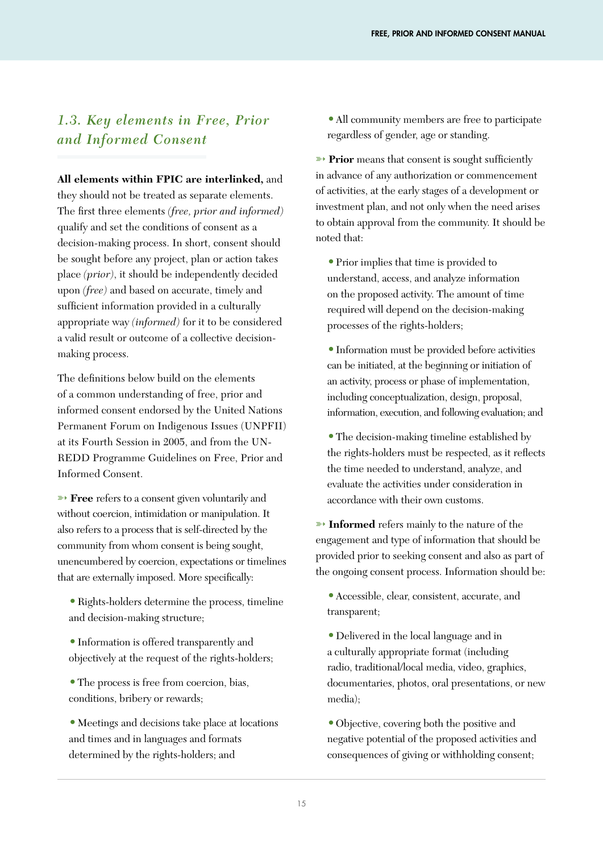#### *1.3. Key elements in Free, Prior and Informed Consent*

**All elements within FPIC are interlinked,** and they should not be treated as separate elements. The first three elements *(free, prior and informed)* qualify and set the conditions of consent as a decision-making process. In short, consent should be sought before any project, plan or action takes place *(prior)*, it should be independently decided upon *(free)* and based on accurate, timely and sufficient information provided in a culturally appropriate way *(informed)* for it to be considered a valid result or outcome of a collective decisionmaking process.

The definitions below build on the elements of a common understanding of free, prior and informed consent endorsed by the United Nations Permanent Forum on Indigenous Issues (UNPFII) at its Fourth Session in 2005, and from the UN-REDD Programme Guidelines on Free, Prior and Informed Consent.

➳ **Free** refers to a consent given voluntarily and without coercion, intimidation or manipulation. It also refers to a process that is self-directed by the community from whom consent is being sought, unencumbered by coercion, expectations or timelines that are externally imposed. More specifically:

**•**Rights-holders determine the process, timeline and decision-making structure;

- **•**Information is offered transparently and objectively at the request of the rights-holders;
- **•**The process is free from coercion, bias, conditions, bribery or rewards;

**•**Meetings and decisions take place at locations and times and in languages and formats determined by the rights-holders; and

**•**All community members are free to participate regardless of gender, age or standing.

**▶ Prior** means that consent is sought sufficiently in advance of any authorization or commencement of activities, at the early stages of a development or investment plan, and not only when the need arises to obtain approval from the community. It should be noted that:

**•**Prior implies that time is provided to understand, access, and analyze information on the proposed activity. The amount of time required will depend on the decision-making processes of the rights-holders;

**•**Information must be provided before activities can be initiated, at the beginning or initiation of an activity, process or phase of implementation, including conceptualization, design, proposal, information, execution, and following evaluation; and

**•**The decision-making timeline established by the rights-holders must be respected, as it reflects the time needed to understand, analyze, and evaluate the activities under consideration in accordance with their own customs.

**► Informed** refers mainly to the nature of the engagement and type of information that should be provided prior to seeking consent and also as part of the ongoing consent process. Information should be:

**•**Accessible, clear, consistent, accurate, and transparent;

**•**Delivered in the local language and in a culturally appropriate format (including radio, traditional/local media, video, graphics, documentaries, photos, oral presentations, or new media);

**•**Objective, covering both the positive and negative potential of the proposed activities and consequences of giving or withholding consent;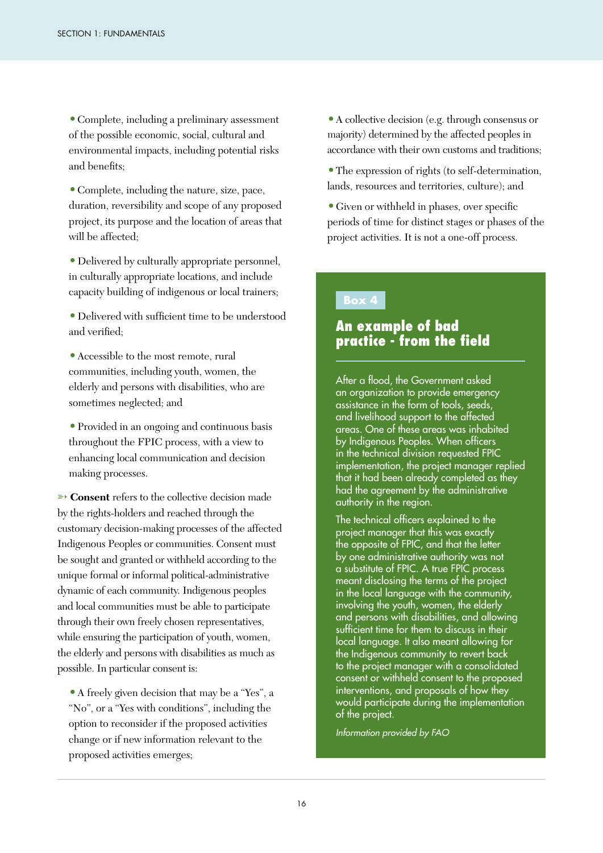**•**Complete, including a preliminary assessment of the possible economic, social, cultural and environmental impacts, including potential risks and benefits;

**•**Complete, including the nature, size, pace, duration, reversibility and scope of any proposed project, its purpose and the location of areas that will be affected;

**•**Delivered by culturally appropriate personnel, in culturally appropriate locations, and include capacity building of indigenous or local trainers;

**•**Delivered with sufficient time to be understood and verified·

**•**Accessible to the most remote, rural communities, including youth, women, the elderly and persons with disabilities, who are sometimes neglected; and

**•**Provided in an ongoing and continuous basis throughout the FPIC process, with a view to enhancing local communication and decision making processes.

**► Consent** refers to the collective decision made by the rights-holders and reached through the customary decision-making processes of the affected Indigenous Peoples or communities. Consent must be sought and granted or withheld according to the unique formal or informal political-administrative dynamic of each community. Indigenous peoples and local communities must be able to participate through their own freely chosen representatives, while ensuring the participation of youth, women, the elderly and persons with disabilities as much as possible. In particular consent is:

**•**A freely given decision that may be a "Yes", a "No", or a "Yes with conditions", including the option to reconsider if the proposed activities change or if new information relevant to the proposed activities emerges;

**•**A collective decision (e.g. through consensus or majority) determined by the affected peoples in accordance with their own customs and traditions;

**•**The expression of rights (to self-determination, lands, resources and territories, culture); and

**•**Given or withheld in phases, over specific periods of time for distinct stages or phases of the project activities. It is not a one-off process.

#### **Box 4**

#### An example of bad practice - from the field

After a flood, the Government asked an organization to provide emergency assistance in the form of tools, seeds, and livelihood support to the affected areas. One of these areas was inhabited by Indigenous Peoples. When officers in the technical division requested FPIC implementation, the project manager replied that it had been already completed as they had the agreement by the administrative authority in the region.

The technical officers explained to the project manager that this was exactly the opposite of FPIC, and that the letter by one administrative authority was not a substitute of FPIC. A true FPIC process meant disclosing the terms of the project in the local language with the community, involving the youth, women, the elderly and persons with disabilities, and allowing sufficient time for them to discuss in their local language. It also meant allowing for the Indigenous community to revert back to the project manager with a consolidated consent or withheld consent to the proposed interventions, and proposals of how they would participate during the implementation of the project.

*Information provided by FAO*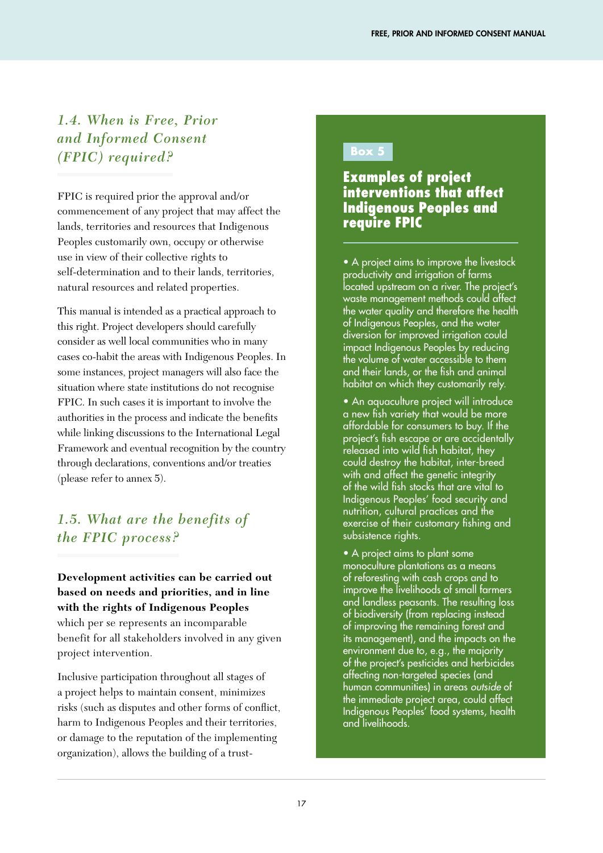### *1.4. When is Free, Prior and Informed Consent (FPIC) required?*

FPIC is required prior the approval and/or commencement of any project that may affect the lands, territories and resources that Indigenous Peoples customarily own, occupy or otherwise use in view of their collective rights to self-determination and to their lands, territories, natural resources and related properties.

This manual is intended as a practical approach to this right. Project developers should carefully consider as well local communities who in many cases co-habit the areas with Indigenous Peoples. In some instances, project managers will also face the situation where state institutions do not recognise FPIC. In such cases it is important to involve the authorities in the process and indicate the benefits while linking discussions to the International Legal Framework and eventual recognition by the country through declarations, conventions and/or treaties (please refer to annex 5).

## *1.5. What are the benefits of the FPIC process?*

#### **Development activities can be carried out based on needs and priorities, and in line with the rights of Indigenous Peoples**

which per se represents an incomparable benefit for all stakeholders involved in any given project intervention.

Inclusive participation throughout all stages of a project helps to maintain consent, minimizes risks (such as disputes and other forms of conflict, harm to Indigenous Peoples and their territories, or damage to the reputation of the implementing organization), allows the building of a trust-

#### **Box 5**

#### Examples of project interventions that affect Indigenous Peoples and require FPIC

• A project aims to improve the livestock productivity and irrigation of farms located upstream on a river. The project's waste management methods could affect the water quality and therefore the health of Indigenous Peoples, and the water diversion for improved irrigation could impact Indigenous Peoples by reducing the volume of water accessible to them and their lands, or the fish and animal habitat on which they customarily rely.

• An aquaculture project will introduce a new fish variety that would be more affordable for consumers to buy. If the project's fish escape or are accidentally released into wild fish habitat, they could destroy the habitat, inter-breed with and affect the genetic integrity of the wild fish stocks that are vital to Indigenous Peoples' food security and nutrition, cultural practices and the exercise of their customary fishing and subsistence rights.

• A project aims to plant some monoculture plantations as a means of reforesting with cash crops and to improve the livelihoods of small farmers and landless peasants. The resulting loss of biodiversity (from replacing instead of improving the remaining forest and its management), and the impacts on the environment due to, e.g., the majority of the project's pesticides and herbicides affecting non-targeted species (and human communities) in areas *outside* of the immediate project area, could affect Indigenous Peoples' food systems, health and livelihoods.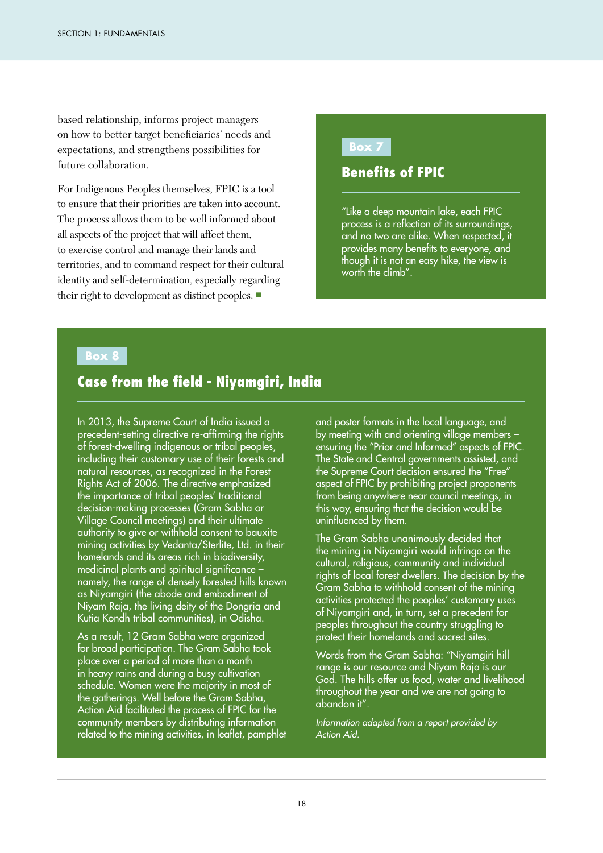based relationship, informs project managers on how to better target beneficiaries' needs and expectations, and strengthens possibilities for future collaboration.

For Indigenous Peoples themselves, FPIC is a tool to ensure that their priorities are taken into account. The process allows them to be well informed about all aspects of the project that will affect them, to exercise control and manage their lands and territories, and to command respect for their cultural identity and self-determination, especially regarding their right to development as distinct peoples. ■

#### **Box 7**

#### Benefits of FPIC

"Like a deep mountain lake, each FPIC process is a reflection of its surroundings, and no two are alike. When respected, it provides many benefits to everyone, and though it is not an easy hike, the view is worth the climb".

#### **Box 8**

#### Case from the field - Niyamgiri, India

In 2013, the Supreme Court of India issued a precedent-setting directive re-affirming the rights of forest-dwelling indigenous or tribal peoples, including their customary use of their forests and natural resources, as recognized in the Forest Rights Act of 2006. The directive emphasized the importance of tribal peoples' traditional decision-making processes (Gram Sabha or Village Council meetings) and their ultimate authority to give or withhold consent to bauxite mining activities by Vedanta/Sterlite, Ltd. in their homelands and its areas rich in biodiversity, medicinal plants and spiritual significance – namely, the range of densely forested hills known as Niyamgiri (the abode and embodiment of Niyam Raja, the living deity of the Dongria and Kutia Kondh tribal communities), in Odisha.

As a result, 12 Gram Sabha were organized for broad participation. The Gram Sabha took place over a period of more than a month in heavy rains and during a busy cultivation schedule. Women were the majority in most of the gatherings. Well before the Gram Sabha, Action Aid facilitated the process of FPIC for the community members by distributing information related to the mining activities, in leaflet, pamphlet and poster formats in the local language, and by meeting with and orienting village members – ensuring the "Prior and Informed" aspects of FPIC. The State and Central governments assisted, and the Supreme Court decision ensured the "Free" aspect of FPIC by prohibiting project proponents from being anywhere near council meetings, in this way, ensuring that the decision would be uninfluenced by them.

The Gram Sabha unanimously decided that the mining in Niyamgiri would infringe on the cultural, religious, community and individual rights of local forest dwellers. The decision by the Gram Sabha to withhold consent of the mining activities protected the peoples' customary uses of Niyamgiri and, in turn, set a precedent for peoples throughout the country struggling to protect their homelands and sacred sites.

Words from the Gram Sabha: "Niyamgiri hill range is our resource and Niyam Raja is our God. The hills offer us food, water and livelihood throughout the year and we are not going to abandon it".

*Information adapted from a report provided by Action Aid.*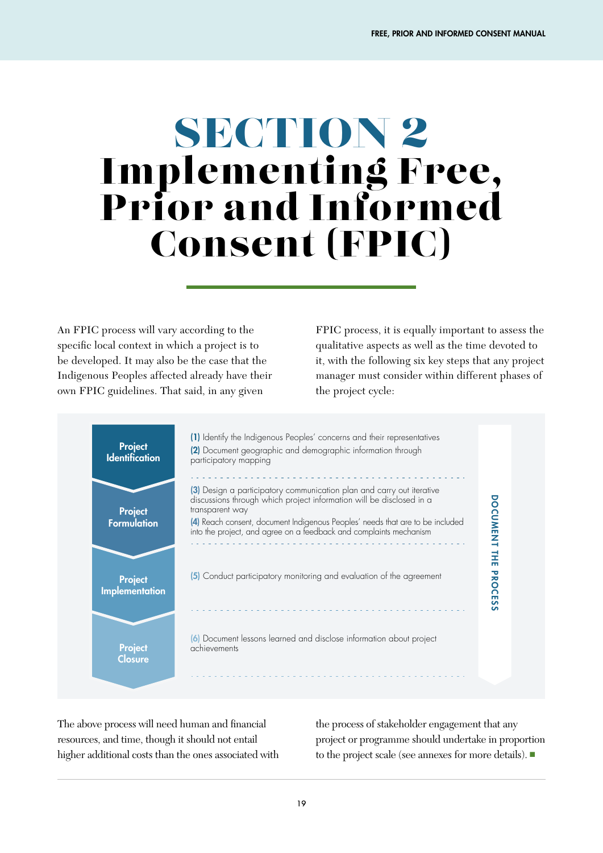# SECTION 2 Implementing Free, Prior and Informed Consent (FPIC)

An FPIC process will vary according to the specific local context in which a project is to be developed. It may also be the case that the Indigenous Peoples affected already have their own FPIC guidelines. That said, in any given

FPIC process, it is equally important to assess the qualitative aspects as well as the time devoted to it, with the following six key steps that any project manager must consider within different phases of the project cycle:



The above process will need human and financial resources, and time, though it should not entail higher additional costs than the ones associated with

the process of stakeholder engagement that any project or programme should undertake in proportion to the project scale (see annexes for more details). ■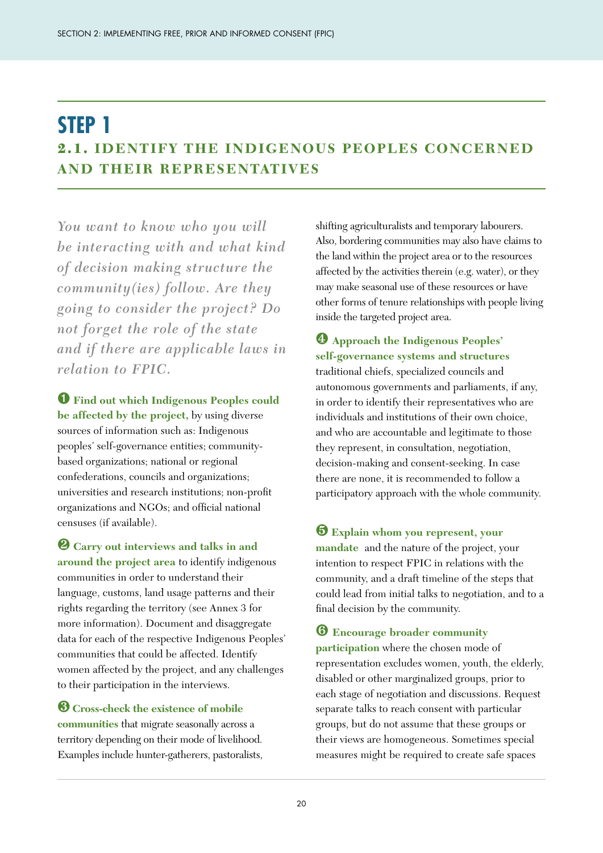# **STEP 1** 2.1. **IDENTIFY THE INDIGENOUS PEOPLES CONCERNED AND THEIR REPRESENTATIVES**

*You want to know who you will be interacting with and what kind of decision making structure the community(ies) follow. Are they going to consider the project? Do not forget the role of the state and if there are applicable laws in relation to FPIC.*

➊ **Find out which Indigenous Peoples could be affected by the project,** by using diverse sources of information such as: Indigenous peoples' self-governance entities; communitybased organizations; national or regional confederations, councils and organizations; universities and research institutions; non-profit organizations and NGOs; and official national censuses (if available).

❷ **Carry out interviews and talks in and around the project area** to identify indigenous communities in order to understand their language, customs, land usage patterns and their rights regarding the territory (see Annex 3 for more information). Document and disaggregate data for each of the respective Indigenous Peoples' communities that could be affected. Identify women affected by the project, and any challenges to their participation in the interviews.

❸**Cross-check the existence of mobile communities** that migrate seasonally across a territory depending on their mode of livelihood. Examples include hunter-gatherers, pastoralists, shifting agriculturalists and temporary labourers. Also, bordering communities may also have claims to the land within the project area or to the resources affected by the activities therein (e.g. water), or they may make seasonal use of these resources or have other forms of tenure relationships with people living inside the targeted project area.

#### ❹ **Approach the Indigenous Peoples' self-governance systems and structures**  traditional chiefs, specialized councils and autonomous governments and parliaments, if any, in order to identify their representatives who are individuals and institutions of their own choice, and who are accountable and legitimate to those they represent, in consultation, negotiation, decision-making and consent-seeking. In case there are none, it is recommended to follow a participatory approach with the whole community.

❺ **Explain whom you represent, your** 

**mandate** and the nature of the project, your intention to respect FPIC in relations with the community, and a draft timeline of the steps that could lead from initial talks to negotiation, and to a final decision by the community.

❻ **Encourage broader community participation** where the chosen mode of representation excludes women, youth, the elderly, disabled or other marginalized groups, prior to each stage of negotiation and discussions. Request separate talks to reach consent with particular groups, but do not assume that these groups or their views are homogeneous. Sometimes special measures might be required to create safe spaces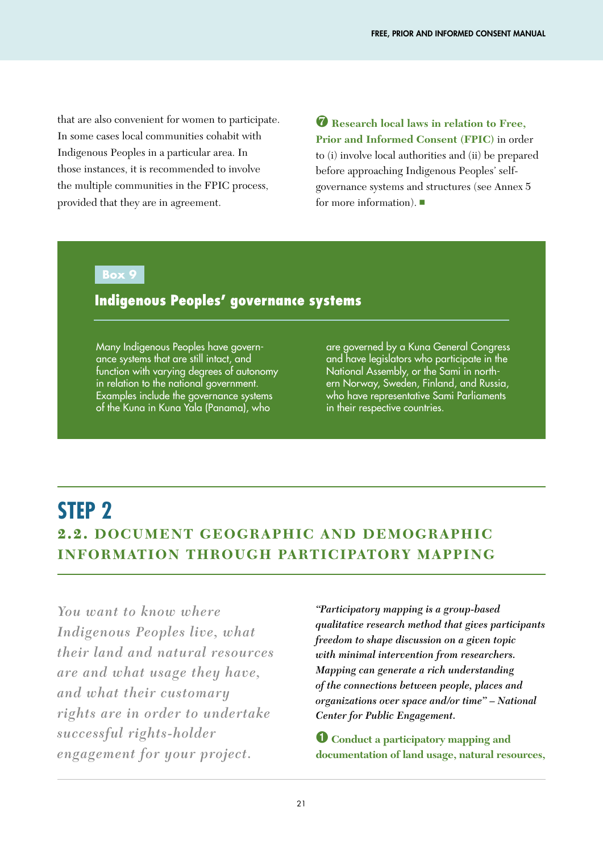that are also convenient for women to participate. In some cases local communities cohabit with Indigenous Peoples in a particular area. In those instances, it is recommended to involve the multiple communities in the FPIC process, provided that they are in agreement.

❼ **Research local laws in relation to Free, Prior and Informed Consent (FPIC)** in order to (i) involve local authorities and (ii) be prepared before approaching Indigenous Peoples' self-

governance systems and structures (see Annex 5 for more information). ■

#### **Box 9**

#### Indigenous Peoples' governance systems

Many Indigenous Peoples have governance systems that are still intact, and function with varying degrees of autonomy in relation to the national government. Examples include the governance systems of the Kuna in Kuna Yala (Panama), who

are governed by a Kuna General Congress and have legislators who participate in the National Assembly, or the Sami in northern Norway, Sweden, Finland, and Russia, who have representative Sami Parliaments in their respective countries.

# **STEP 2**

## 2.2. **DOCUMENT GEOGRAPHIC AND DEMOGRAPHIC INFORMATION THROUGH PARTICIPATORY MAPPING**

*You want to know where Indigenous Peoples live, what their land and natural resources are and what usage they have, and what their customary rights are in order to undertake successful rights-holder engagement for your project.*

*"Participatory mapping is a group-based qualitative research method that gives participants freedom to shape discussion on a given topic with minimal intervention from researchers. Mapping can generate a rich understanding of the connections between people, places and organizations over space and/or time" – National Center for Public Engagement.*

➊ **Conduct a participatory mapping and documentation of land usage, natural resources,**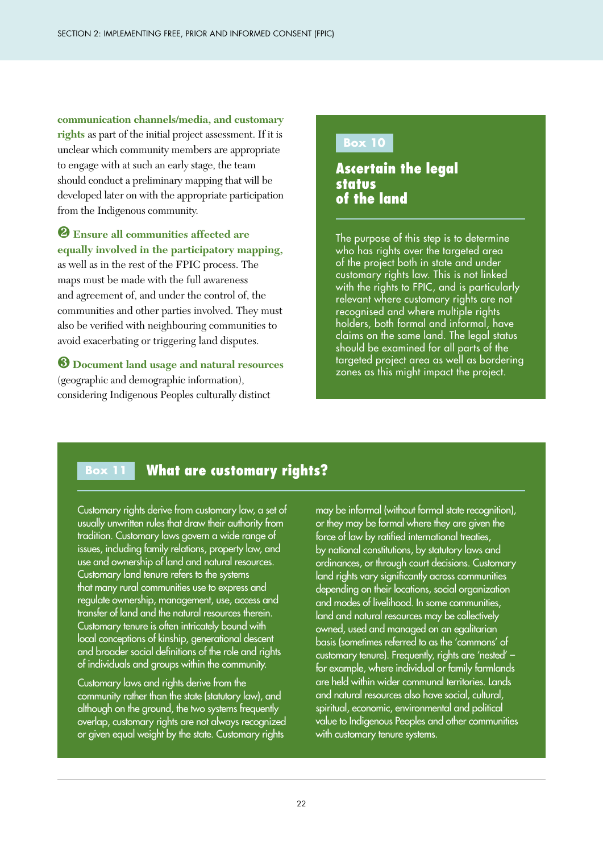**communication channels/media, and customary rights** as part of the initial project assessment. If it is unclear which community members are appropriate to engage with at such an early stage, the team should conduct a preliminary mapping that will be developed later on with the appropriate participation from the Indigenous community.

#### ❷ **Ensure all communities affected are equally involved in the participatory mapping,**

as well as in the rest of the FPIC process. The maps must be made with the full awareness and agreement of, and under the control of, the communities and other parties involved. They must also be verified with neighbouring communities to avoid exacerbating or triggering land disputes.

#### ❸ **Document land usage and natural resources**  (geographic and demographic information), considering Indigenous Peoples culturally distinct

#### **Box 10**

#### Ascertain the legal status of the land

The purpose of this step is to determine who has rights over the targeted area of the project both in state and under customary rights law. This is not linked with the rights to FPIC, and is particularly relevant where customary rights are not recognised and where multiple rights holders, both formal and informal, have claims on the same land. The legal status should be examined for all parts of the targeted project area as well as bordering zones as this might impact the project.

#### **Box 11**  What are customary rights?

Customary rights derive from customary law, a set of usually unwritten rules that draw their authority from tradition. Customary laws govern a wide range of issues, including family relations, property law, and use and ownership of land and natural resources. Customary land tenure refers to the systems that many rural communities use to express and regulate ownership, management, use, access and transfer of land and the natural resources therein. Customary tenure is often intricately bound with local conceptions of kinship, generational descent and broader social definitions of the role and rights of individuals and groups within the community.

Customary laws and rights derive from the community rather than the state (statutory law), and although on the ground, the two systems frequently overlap, customary rights are not always recognized or given equal weight by the state. Customary rights

may be informal (without formal state recognition), or they may be formal where they are given the force of law by ratified international treaties, by national constitutions, by statutory laws and ordinances, or through court decisions. Customary land rights vary significantly across communities depending on their locations, social organization and modes of livelihood. In some communities, land and natural resources may be collectively owned, used and managed on an egalitarian basis (sometimes referred to as the 'commons' of customary tenure). Frequently, rights are 'nested' – for example, where individual or family farmlands are held within wider communal territories. Lands and natural resources also have social, cultural, spiritual, economic, environmental and political value to Indigenous Peoples and other communities with customary tenure systems.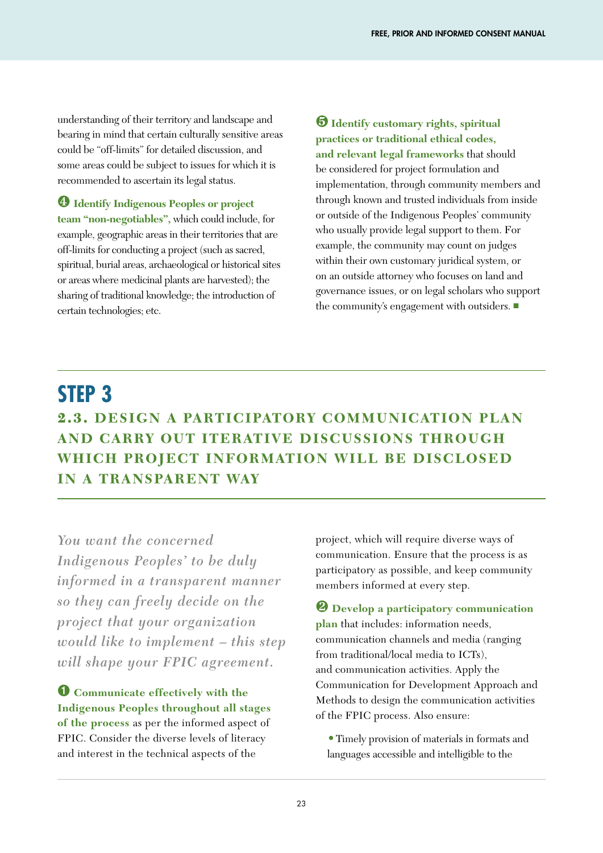understanding of their territory and landscape and bearing in mind that certain culturally sensitive areas could be "off-limits" for detailed discussion, and some areas could be subject to issues for which it is recommended to ascertain its legal status.

❹ **Identify Indigenous Peoples or project team "non-negotiables",** which could include, for example, geographic areas in their territories that are off-limits for conducting a project (such as sacred, spiritual, burial areas, archaeological or historical sites or areas where medicinal plants are harvested); the sharing of traditional knowledge; the introduction of certain technologies; etc.

❺ **Identify customary rights, spiritual practices or traditional ethical codes, and relevant legal frameworks** that should be considered for project formulation and implementation, through community members and through known and trusted individuals from inside or outside of the Indigenous Peoples' community who usually provide legal support to them. For example, the community may count on judges within their own customary juridical system, or on an outside attorney who focuses on land and governance issues, or on legal scholars who support the community's engagement with outsiders. ■

# **STEP 3** 2.3. **DESIGN A PARTICIPATORY COMMUNICATION PLAN AND CARRY OUT ITERATIVE DISCUSSIONS THROUGH WHICH PROJECT INFORMATION WILL BE DISCLOSED IN A TRANSPARENT WAY**

*You want the concerned Indigenous Peoples' to be duly informed in a transparent manner so they can freely decide on the project that your organization would like to implement – this step will shape your FPIC agreement.* 

➊ **Communicate effectively with the Indigenous Peoples throughout all stages of the process** as per the informed aspect of FPIC. Consider the diverse levels of literacy and interest in the technical aspects of the

project, which will require diverse ways of communication. Ensure that the process is as participatory as possible, and keep community members informed at every step.

❷ **Develop a participatory communication plan** that includes: information needs, communication channels and media (ranging from traditional/local media to ICTs), and communication activities. Apply the Communication for Development Approach and Methods to design the communication activities of the FPIC process. Also ensure:

**•**Timely provision of materials in formats and languages accessible and intelligible to the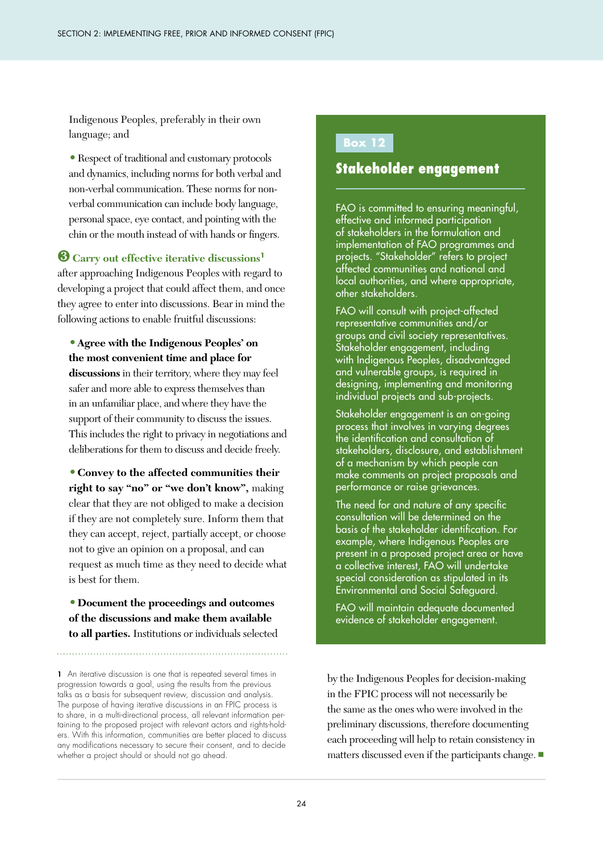Indigenous Peoples, preferably in their own language; and

**•**Respect of traditional and customary protocols and dynamics, including norms for both verbal and non-verbal communication. These norms for nonverbal communication can include body language, personal space, eye contact, and pointing with the chin or the mouth instead of with hands or fingers.

#### ❸**Carry out effective iterative discussions<sup>1</sup>**

after approaching Indigenous Peoples with regard to developing a project that could affect them, and once they agree to enter into discussions. Bear in mind the following actions to enable fruitful discussions:

**•Agree with the Indigenous Peoples' on the most convenient time and place for discussions** in their territory, where they may feel safer and more able to express themselves than in an unfamiliar place, and where they have the support of their community to discuss the issues. This includes the right to privacy in negotiations and deliberations for them to discuss and decide freely.

**•Convey to the affected communities their right to say "no" or "we don't know",** making clear that they are not obliged to make a decision if they are not completely sure. Inform them that they can accept, reject, partially accept, or choose not to give an opinion on a proposal, and can request as much time as they need to decide what is best for them.

**•Document the proceedings and outcomes of the discussions and make them available to all parties.** Institutions or individuals selected

#### **Box 12**

#### Stakeholder engagement

FAO is committed to ensuring meaningful, effective and informed participation of stakeholders in the formulation and implementation of FAO programmes and projects. "Stakeholder" refers to project affected communities and national and local authorities, and where appropriate, other stakeholders.

FAO will consult with project-affected representative communities and/or groups and civil society representatives. Stakeholder engagement, including with Indigenous Peoples, disadvantaged and vulnerable groups, is required in designing, implementing and monitoring individual projects and sub-projects.

Stakeholder engagement is an on-going process that involves in varying degrees the identification and consultation of stakeholders, disclosure, and establishment of a mechanism by which people can make comments on project proposals and performance or raise grievances.

The need for and nature of any specific consultation will be determined on the basis of the stakeholder identification. For example, where Indigenous Peoples are present in a proposed project area or have a collective interest, FAO will undertake special consideration as stipulated in its Environmental and Social Safeguard.

FAO will maintain adequate documented evidence of stakeholder engagement.

by the Indigenous Peoples for decision-making in the FPIC process will not necessarily be the same as the ones who were involved in the preliminary discussions, therefore documenting each proceeding will help to retain consistency in matters discussed even if the participants change. ■

<sup>1</sup> An iterative discussion is one that is repeated several times in progression towards a goal, using the results from the previous talks as a basis for subsequent review, discussion and analysis. The purpose of having iterative discussions in an FPIC process is to share, in a multi-directional process, all relevant information pertaining to the proposed project with relevant actors and rights-holders. With this information, communities are better placed to discuss any modifications necessary to secure their consent, and to decide whether a project should or should not go ahead.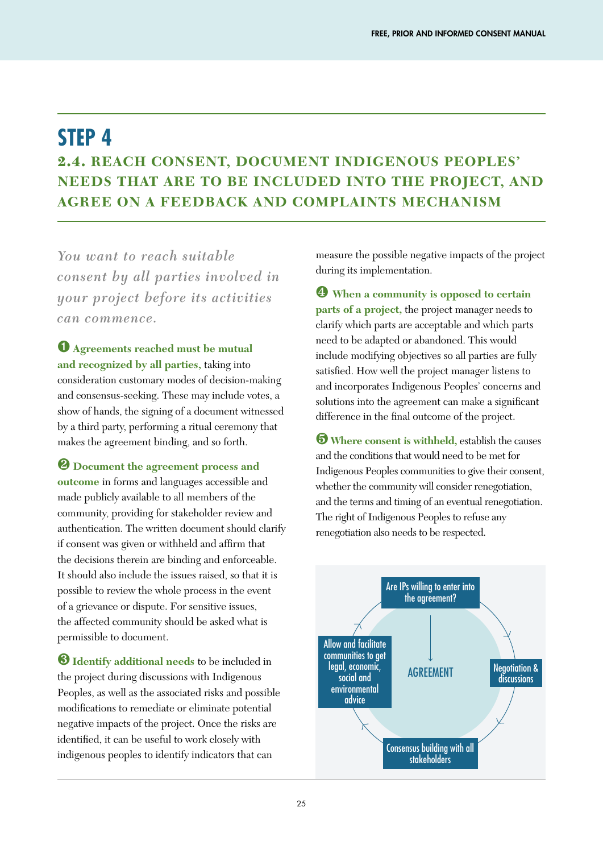# **STEP 4** 2.4. **REACH CONSENT, DOCUMENT INDIGENOUS PEOPLES' NEEDS THAT ARE TO BE INCLUDED INTO THE PROJECT, AND AGREE ON A FEEDBACK AND COMPLAINTS MECHANISM**

*You want to reach suitable consent by all parties involved in your project before its activities can commence.*

➊ **Agreements reached must be mutual and recognized by all parties,** taking into consideration customary modes of decision-making and consensus-seeking. These may include votes, a show of hands, the signing of a document witnessed by a third party, performing a ritual ceremony that makes the agreement binding, and so forth.

❷ **Document the agreement process and outcome** in forms and languages accessible and made publicly available to all members of the community, providing for stakeholder review and authentication. The written document should clarify if consent was given or withheld and affirm that the decisions therein are binding and enforceable. It should also include the issues raised, so that it is possible to review the whole process in the event of a grievance or dispute. For sensitive issues, the affected community should be asked what is permissible to document.

❸**Identify additional needs** to be included in the project during discussions with Indigenous Peoples, as well as the associated risks and possible modifications to remediate or eliminate potential negative impacts of the project. Once the risks are identified, it can be useful to work closely with indigenous peoples to identify indicators that can

measure the possible negative impacts of the project during its implementation.

❹ **When a community is opposed to certain parts of a project,** the project manager needs to clarify which parts are acceptable and which parts need to be adapted or abandoned. This would include modifying objectives so all parties are fully satisfied. How well the project manager listens to and incorporates Indigenous Peoples' concerns and solutions into the agreement can make a significant difference in the final outcome of the project.

❺ **Where consent is withheld,** establish the causes and the conditions that would need to be met for Indigenous Peoples communities to give their consent, whether the community will consider renegotiation, and the terms and timing of an eventual renegotiation. The right of Indigenous Peoples to refuse any renegotiation also needs to be respected.

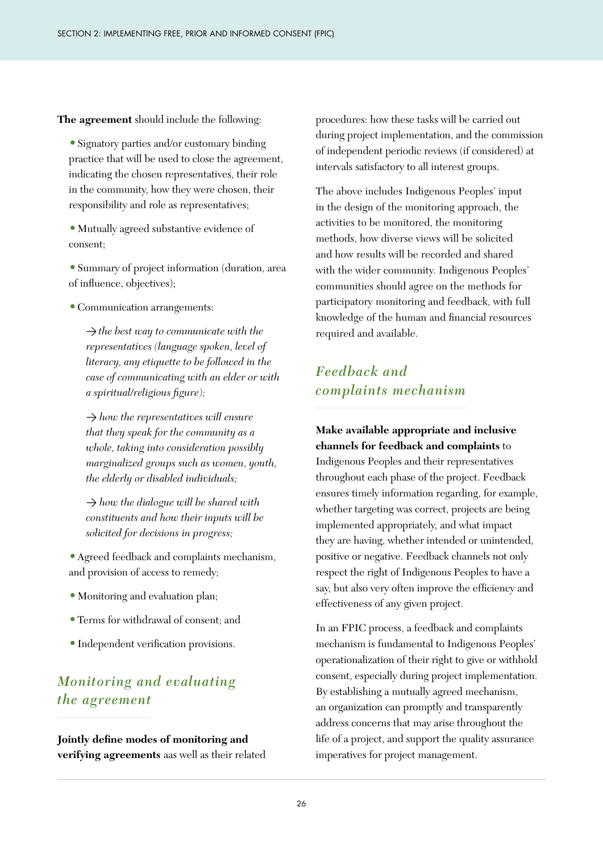**The agreement** should include the following:

**•**Signatory parties and/or customary binding practice that will be used to close the agreement, indicating the chosen representatives, their role in the community, how they were chosen, their responsibility and role as representatives;

**•**Mutually agreed substantive evidence of consent;

**•**Summary of project information (duration, area of influence, objectives);

**•**Communication arrangements:

>*the best way to communicate with the representatives (language spoken, level of literacy, any etiquette to be followed in the case of communicating with an elder or with a spiritual/religious figure);*

> *how the representatives will ensure that they speak for the community as a whole, taking into consideration possibly marginalized groups such as women, youth, the elderly or disabled individuals;*

> *how the dialogue will be shared with constituents and how their inputs will be solicited for decisions in progress;*

**•**Agreed feedback and complaints mechanism, and provision of access to remedy;

- **•**Monitoring and evaluation plan;
- **•**Terms for withdrawal of consent; and
- **•**Independent verification provisions.

### *Monitoring and evaluating the agreement*

**Jointly define modes of monitoring and verifying agreements** aas well as their related procedures: how these tasks will be carried out during project implementation, and the commission of independent periodic reviews (if considered) at intervals satisfactory to all interest groups.

The above includes Indigenous Peoples' input in the design of the monitoring approach, the activities to be monitored, the monitoring methods, how diverse views will be solicited and how results will be recorded and shared with the wider community. Indigenous Peoples' communities should agree on the methods for participatory monitoring and feedback, with full knowledge of the human and financial resources required and available.

#### *Feedback and complaints mechanism*

**Make available appropriate and inclusive channels for feedback and complaints** to Indigenous Peoples and their representatives throughout each phase of the project. Feedback ensures timely information regarding, for example, whether targeting was correct, projects are being implemented appropriately, and what impact they are having, whether intended or unintended, positive or negative. Feedback channels not only respect the right of Indigenous Peoples to have a say, but also very often improve the efficiency and effectiveness of any given project.

In an FPIC process, a feedback and complaints mechanism is fundamental to Indigenous Peoples' operationalization of their right to give or withhold consent, especially during project implementation. By establishing a mutually agreed mechanism, an organization can promptly and transparently address concerns that may arise throughout the life of a project, and support the quality assurance imperatives for project management.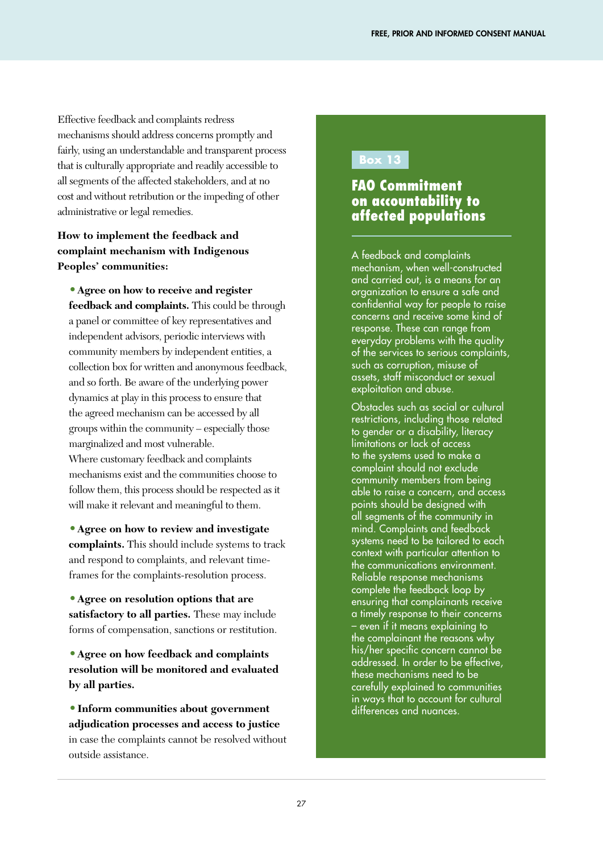Effective feedback and complaints redress mechanisms should address concerns promptly and fairly, using an understandable and transparent process that is culturally appropriate and readily accessible to all segments of the affected stakeholders, and at no cost and without retribution or the impeding of other administrative or legal remedies.

#### **How to implement the feedback and complaint mechanism with Indigenous Peoples' communities:**

**•Agree on how to receive and register feedback and complaints.** This could be through a panel or committee of key representatives and independent advisors, periodic interviews with community members by independent entities, a collection box for written and anonymous feedback, and so forth. Be aware of the underlying power dynamics at play in this process to ensure that the agreed mechanism can be accessed by all groups within the community – especially those marginalized and most vulnerable. Where customary feedback and complaints mechanisms exist and the communities choose to follow them, this process should be respected as it will make it relevant and meaningful to them.

**•Agree on how to review and investigate complaints.** This should include systems to track and respond to complaints, and relevant timeframes for the complaints-resolution process.

**•Agree on resolution options that are satisfactory to all parties.** These may include forms of compensation, sanctions or restitution.

**•Agree on how feedback and complaints resolution will be monitored and evaluated by all parties.**

**•Inform communities about government adjudication processes and access to justice**  in case the complaints cannot be resolved without outside assistance.

#### **Box 13**

#### FAO Commitment on accountability to affected populations

A feedback and complaints mechanism, when well-constructed and carried out, is a means for an organization to ensure a safe and confidential way for people to raise concerns and receive some kind of response. These can range from everyday problems with the quality of the services to serious complaints, such as corruption, misuse of assets, staff misconduct or sexual exploitation and abuse.

Obstacles such as social or cultural restrictions, including those related to gender or a disability, literacy limitations or lack of access to the systems used to make a complaint should not exclude community members from being able to raise a concern, and access points should be designed with all segments of the community in mind. Complaints and feedback systems need to be tailored to each context with particular attention to the communications environment. Reliable response mechanisms complete the feedback loop by ensuring that complainants receive a timely response to their concerns – even if it means explaining to the complainant the reasons why his/her specific concern cannot be addressed. In order to be effective, these mechanisms need to be carefully explained to communities in ways that to account for cultural differences and nuances.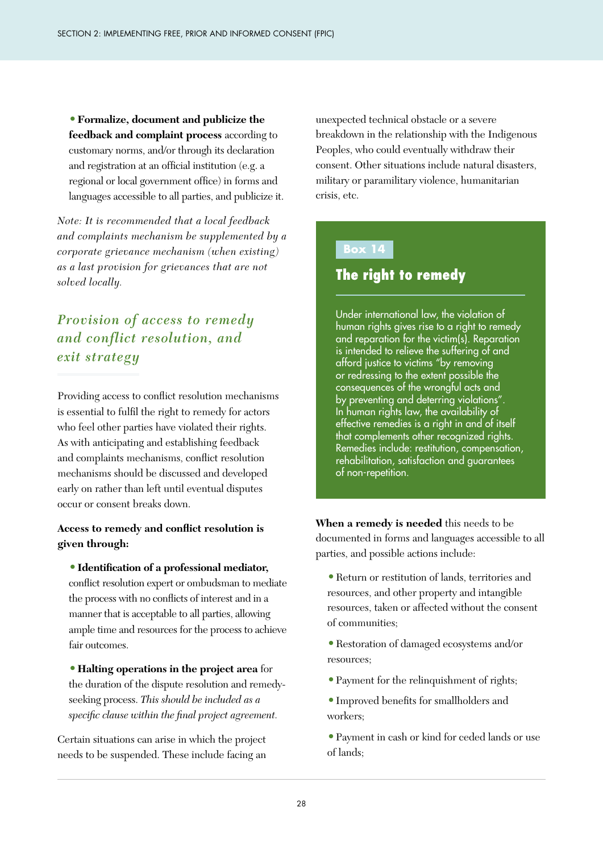**•Formalize, document and publicize the feedback and complaint process** according to customary norms, and/or through its declaration and registration at an official institution (e.g. a regional or local government office) in forms and languages accessible to all parties, and publicize it.

*Note: It is recommended that a local feedback and complaints mechanism be supplemented by a corporate grievance mechanism (when existing) as a last provision for grievances that are not solved locally.*

### *Provision of access to remedy and conflict resolution, and exit strategy*

Providing access to conflict resolution mechanisms is essential to fulfil the right to remedy for actors who feel other parties have violated their rights. As with anticipating and establishing feedback and complaints mechanisms, conflict resolution mechanisms should be discussed and developed early on rather than left until eventual disputes occur or consent breaks down.

#### **Access to remedy and conflict resolution is given through:**

**•Identification of a professional mediator,** 

conflict resolution expert or ombudsman to mediate the process with no conflicts of interest and in a manner that is acceptable to all parties, allowing ample time and resources for the process to achieve fair outcomes.

**•Halting operations in the project area** for the duration of the dispute resolution and remedyseeking process. *This should be included as a specific clause within the final project agreement.*

Certain situations can arise in which the project needs to be suspended. These include facing an unexpected technical obstacle or a severe breakdown in the relationship with the Indigenous Peoples, who could eventually withdraw their consent. Other situations include natural disasters, military or paramilitary violence, humanitarian crisis, etc.

#### **Box 14**

### The right to remedy

Under international law, the violation of human rights gives rise to a right to remedy and reparation for the victim(s). Reparation is intended to relieve the suffering of and afford justice to victims "by removing or redressing to the extent possible the consequences of the wrongful acts and by preventing and deterring violations". In human rights law, the availability of effective remedies is a right in and of itself that complements other recognized rights. Remedies include: restitution, compensation, rehabilitation, satisfaction and guarantees of non-repetition.

**When a remedy is needed** this needs to be documented in forms and languages accessible to all parties, and possible actions include:

- **•**Return or restitution of lands, territories and resources, and other property and intangible resources, taken or affected without the consent of communities;
- **•**Restoration of damaged ecosystems and/or resources;
- **•**Payment for the relinquishment of rights;
- **•**Improved benefits for smallholders and workers;

**•**Payment in cash or kind for ceded lands or use of lands;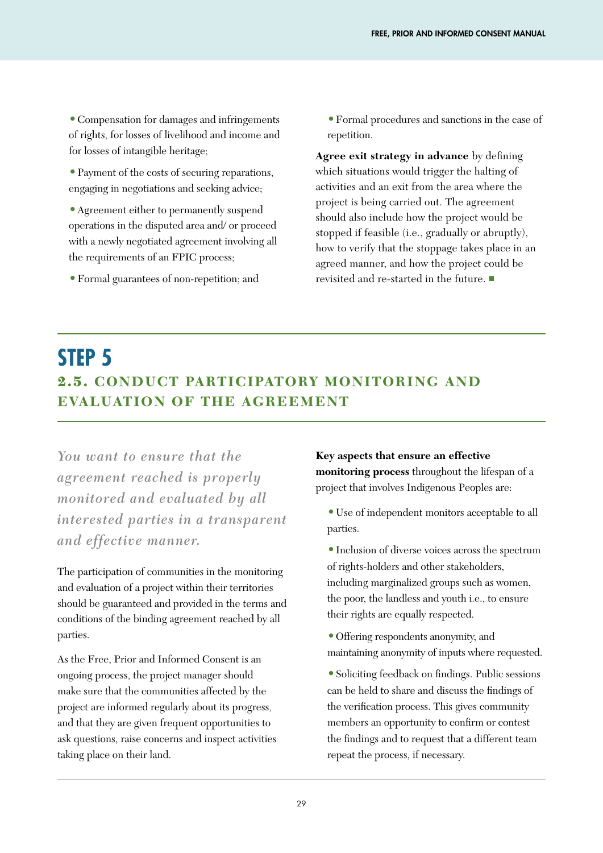**•**Compensation for damages and infringements of rights, for losses of livelihood and income and for losses of intangible heritage;

- **•**Payment of the costs of securing reparations, engaging in negotiations and seeking advice;
- **•**Agreement either to permanently suspend operations in the disputed area and/ or proceed with a newly negotiated agreement involving all the requirements of an FPIC process;
- **•**Formal guarantees of non-repetition; and

**•**Formal procedures and sanctions in the case of repetition.

**Agree exit strategy in advance** by defining which situations would trigger the halting of activities and an exit from the area where the project is being carried out. The agreement should also include how the project would be stopped if feasible (i.e., gradually or abruptly), how to verify that the stoppage takes place in an agreed manner, and how the project could be revisited and re-started in the future. ■

# **STEP 5** 2.5. **CONDUCT PARTICIPATORY MONITORING AND EVALUATION OF THE AGREEMENT**

*You want to ensure that the agreement reached is properly monitored and evaluated by all interested parties in a transparent and effective manner.*

The participation of communities in the monitoring and evaluation of a project within their territories should be guaranteed and provided in the terms and conditions of the binding agreement reached by all parties.

As the Free, Prior and Informed Consent is an ongoing process, the project manager should make sure that the communities affected by the project are informed regularly about its progress, and that they are given frequent opportunities to ask questions, raise concerns and inspect activities taking place on their land.

**Key aspects that ensure an effective monitoring process** throughout the lifespan of a project that involves Indigenous Peoples are:

- **•**Use of independent monitors acceptable to all parties.
- **•**Inclusion of diverse voices across the spectrum of rights-holders and other stakeholders, including marginalized groups such as women, the poor, the landless and youth i.e., to ensure their rights are equally respected.
- **•**Offering respondents anonymity, and maintaining anonymity of inputs where requested.
- **•**Soliciting feedback on findings. Public sessions can be held to share and discuss the findings of the verification process. This gives community members an opportunity to confirm or contest the findings and to request that a different team repeat the process, if necessary.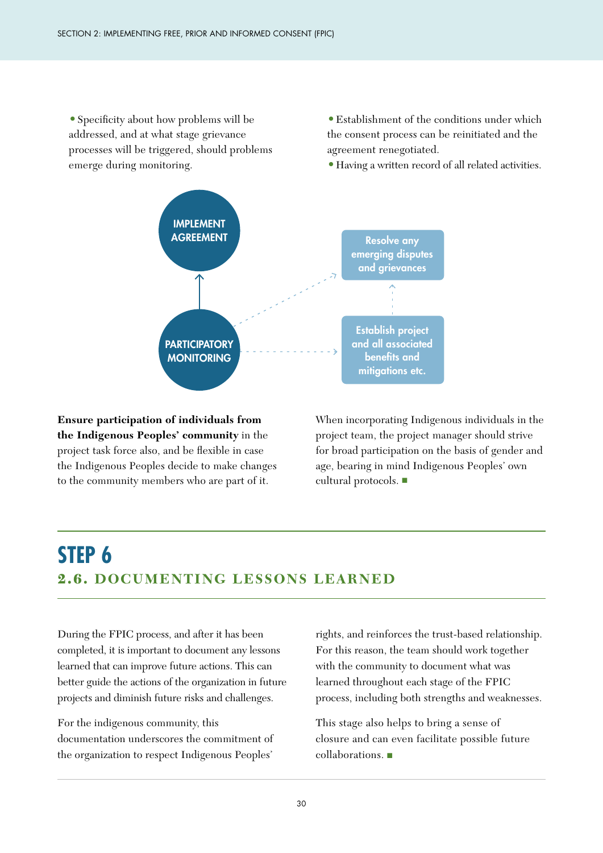**•**Specificity about how problems will be addressed, and at what stage grievance processes will be triggered, should problems emerge during monitoring.

**•**Establishment of the conditions under which the consent process can be reinitiated and the agreement renegotiated.

**•**Having a written record of all related activities.



**Ensure participation of individuals from the Indigenous Peoples' community** in the project task force also, and be flexible in case the Indigenous Peoples decide to make changes to the community members who are part of it.

When incorporating Indigenous individuals in the project team, the project manager should strive for broad participation on the basis of gender and age, bearing in mind Indigenous Peoples' own cultural protocols. ■

# **STEP 6** 2.6. **DOCUMENTING LESSONS LEARNED**

During the FPIC process, and after it has been completed, it is important to document any lessons learned that can improve future actions. This can better guide the actions of the organization in future projects and diminish future risks and challenges.

For the indigenous community, this documentation underscores the commitment of the organization to respect Indigenous Peoples'

rights, and reinforces the trust-based relationship. For this reason, the team should work together with the community to document what was learned throughout each stage of the FPIC process, including both strengths and weaknesses.

This stage also helps to bring a sense of closure and can even facilitate possible future collaborations. ■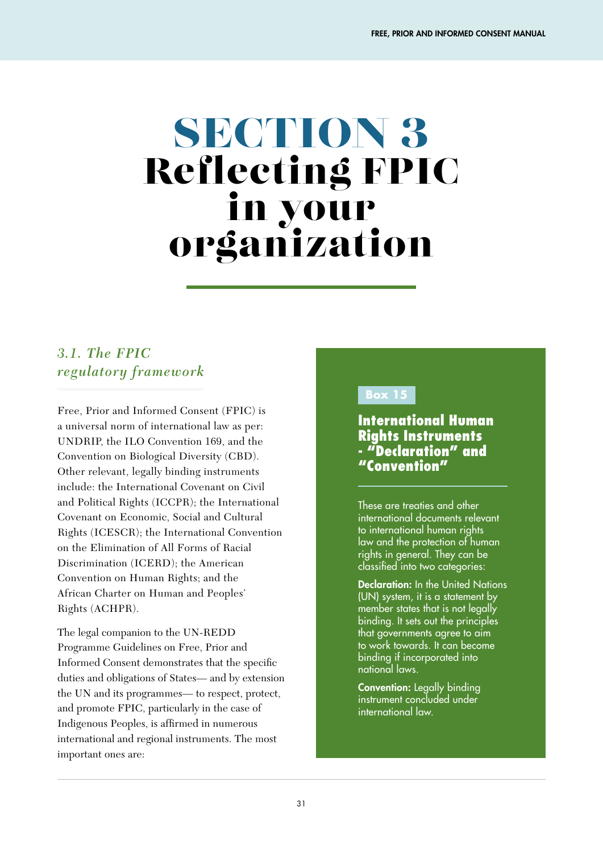# SECTION 3 Reflecting FPIC in your organization

## *3.1. The FPIC regulatory framework*

Free, Prior and Informed Consent (FPIC) is a universal norm of international law as per: UNDRIP, the ILO Convention 169, and the Convention on Biological Diversity (CBD). Other relevant, legally binding instruments include: the International Covenant on Civil and Political Rights (ICCPR); the International Covenant on Economic, Social and Cultural Rights (ICESCR); the International Convention on the Elimination of All Forms of Racial Discrimination (ICERD); the American Convention on Human Rights; and the African Charter on Human and Peoples' Rights (ACHPR).

The legal companion to the UN-REDD Programme Guidelines on Free, Prior and Informed Consent demonstrates that the specific duties and obligations of States— and by extension the UN and its programmes— to respect, protect, and promote FPIC, particularly in the case of Indigenous Peoples, is affirmed in numerous international and regional instruments. The most important ones are:

#### **Box 15**

International Human Rights Instruments - "Declaration" and "Convention"

These are treaties and other international documents relevant to international human rights law and the protection of human rights in general. They can be classified into two categories:

Declaration: In the United Nations (UN) system, it is a statement by member states that is not legally binding. It sets out the principles that governments agree to aim to work towards. It can become binding if incorporated into national laws.

Convention: Legally binding instrument concluded under international law.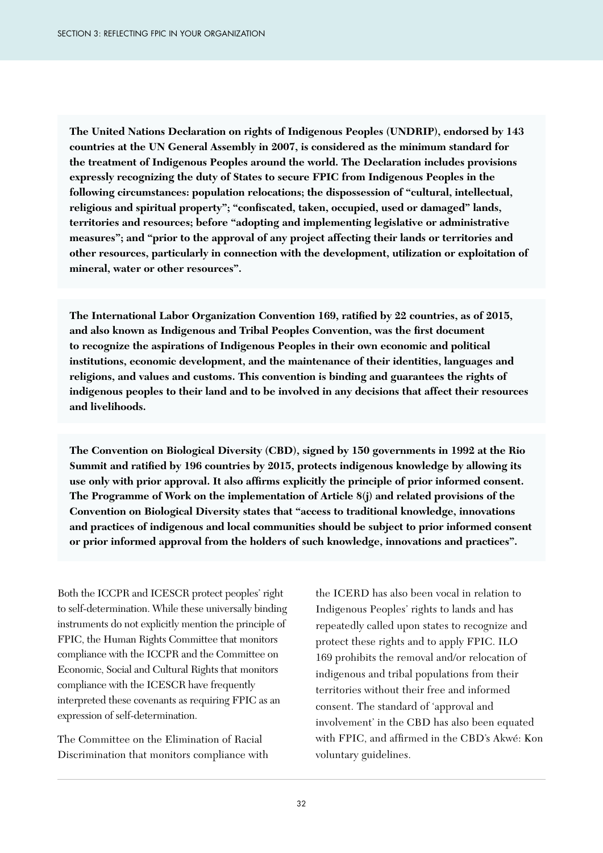**The United Nations Declaration on rights of Indigenous Peoples (UNDRIP), endorsed by 143 countries at the UN General Assembly in 2007, is considered as the minimum standard for the treatment of Indigenous Peoples around the world. The Declaration includes provisions expressly recognizing the duty of States to secure FPIC from Indigenous Peoples in the following circumstances: population relocations; the dispossession of "cultural, intellectual, religious and spiritual property"; "confiscated, taken, occupied, used or damaged" lands, territories and resources; before "adopting and implementing legislative or administrative measures"; and "prior to the approval of any project affecting their lands or territories and other resources, particularly in connection with the development, utilization or exploitation of mineral, water or other resources".**

**The International Labor Organization Convention 169, ratified by 22 countries, as of 2015, and also known as Indigenous and Tribal Peoples Convention, was the first document to recognize the aspirations of Indigenous Peoples in their own economic and political institutions, economic development, and the maintenance of their identities, languages and religions, and values and customs. This convention is binding and guarantees the rights of indigenous peoples to their land and to be involved in any decisions that affect their resources and livelihoods.** 

**The Convention on Biological Diversity (CBD), signed by 150 governments in 1992 at the Rio Summit and ratified by 196 countries by 2015, protects indigenous knowledge by allowing its use only with prior approval. It also affirms explicitly the principle of prior informed consent. The Programme of Work on the implementation of Article 8(j) and related provisions of the Convention on Biological Diversity states that "access to traditional knowledge, innovations and practices of indigenous and local communities should be subject to prior informed consent or prior informed approval from the holders of such knowledge, innovations and practices".**

Both the ICCPR and ICESCR protect peoples' right to self-determination. While these universally binding instruments do not explicitly mention the principle of FPIC, the Human Rights Committee that monitors compliance with the ICCPR and the Committee on Economic, Social and Cultural Rights that monitors compliance with the ICESCR have frequently interpreted these covenants as requiring FPIC as an expression of self-determination.

The Committee on the Elimination of Racial Discrimination that monitors compliance with the ICERD has also been vocal in relation to Indigenous Peoples' rights to lands and has repeatedly called upon states to recognize and protect these rights and to apply FPIC. ILO 169 prohibits the removal and/or relocation of indigenous and tribal populations from their territories without their free and informed consent. The standard of 'approval and involvement' in the CBD has also been equated with FPIC, and affirmed in the CBD's Akwé: Kon voluntary guidelines.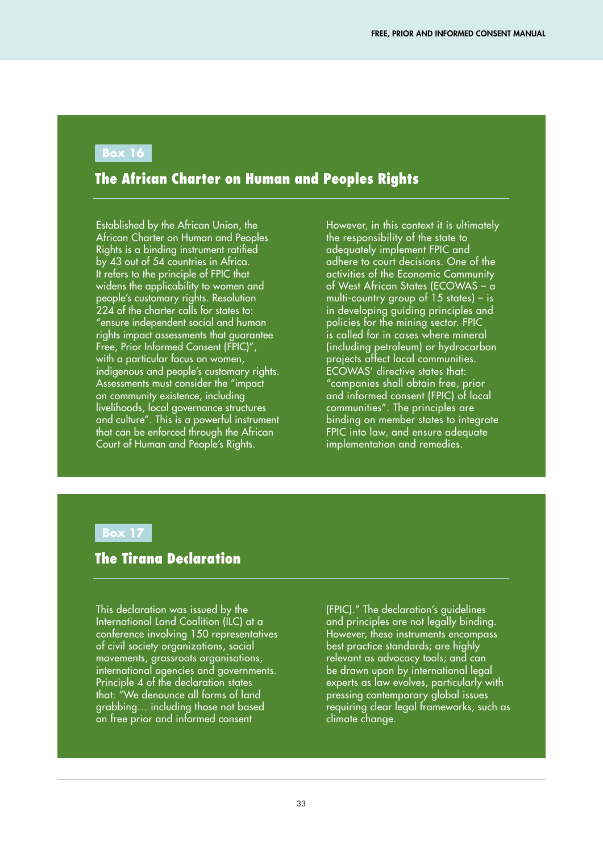#### **Box 16**

#### The African Charter on Human and Peoples Rights

Established by the African Union, the African Charter on Human and Peoples Rights is a binding instrument ratified by 43 out of 54 countries in Africa. It refers to the principle of FPIC that widens the applicability to women and people's customary rights. Resolution 224 of the charter calls for states to: "ensure independent social and human rights impact assessments that guarantee Free, Prior Informed Consent (FPIC)", with a particular focus on women, indigenous and people's customary rights. Assessments must consider the "impact on community existence, including livelihoods, local governance structures and culture". This is a powerful instrument that can be enforced through the African Court of Human and People's Rights.

However, in this context it is ultimately the responsibility of the state to adequately implement FPIC and adhere to court decisions. One of the activities of the Economic Community of West African States (ECOWAS – a multi-country group of 15 states) – is in developing guiding principles and policies for the mining sector. FPIC is called for in cases where mineral (including petroleum) or hydrocarbon projects affect local communities. ECOWAS' directive states that: "companies shall obtain free, prior and informed consent (FPIC) of local communities". The principles are binding on member states to integrate FPIC into law, and ensure adequate implementation and remedies.

#### **Box 17**

#### The Tirana Declaration

This declaration was issued by the International Land Coalition (ILC) at a conference involving 150 representatives of civil society organizations, social movements, grassroots organisations, international agencies and governments. Principle 4 of the declaration states that: "We denounce all forms of land grabbing… including those not based on free prior and informed consent

(FPIC)." The declaration's guidelines and principles are not legally binding. However, these instruments encompass best practice standards; are highly relevant as advocacy tools; and can be drawn upon by international legal experts as law evolves, particularly with pressing contemporary global issues requiring clear legal frameworks, such as climate change.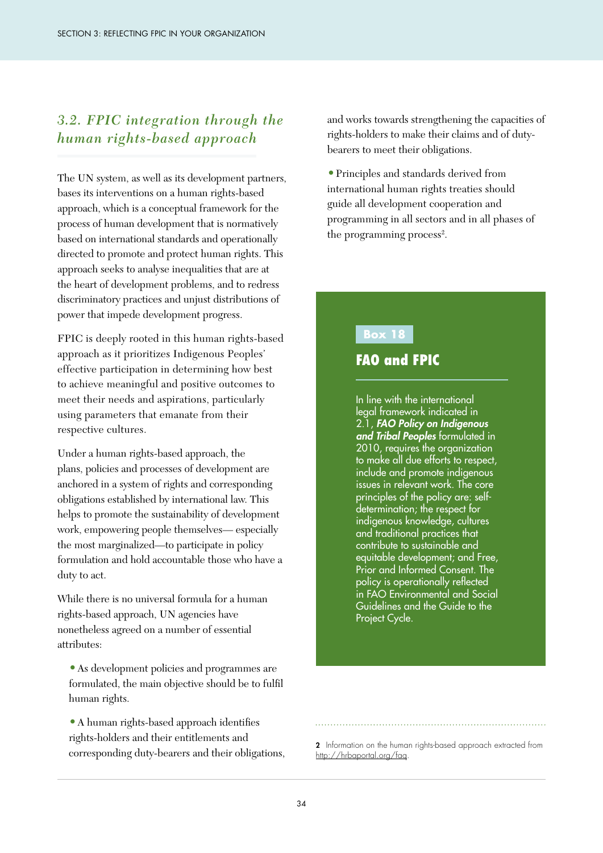### *3.2. FPIC integration through the human rights-based approach*

The UN system, as well as its development partners, bases its interventions on a human rights-based approach, which is a conceptual framework for the process of human development that is normatively based on international standards and operationally directed to promote and protect human rights. This approach seeks to analyse inequalities that are at the heart of development problems, and to redress discriminatory practices and unjust distributions of power that impede development progress.

FPIC is deeply rooted in this human rights-based approach as it prioritizes Indigenous Peoples' effective participation in determining how best to achieve meaningful and positive outcomes to meet their needs and aspirations, particularly using parameters that emanate from their respective cultures.

Under a human rights-based approach, the plans, policies and processes of development are anchored in a system of rights and corresponding obligations established by international law. This helps to promote the sustainability of development work, empowering people themselves— especially the most marginalized—to participate in policy formulation and hold accountable those who have a duty to act.

While there is no universal formula for a human rights-based approach, UN agencies have nonetheless agreed on a number of essential attributes:

**•**As development policies and programmes are formulated, the main objective should be to fulfil human rights.

**•**A human rights-based approach identifies rights-holders and their entitlements and corresponding duty-bearers and their obligations, and works towards strengthening the capacities of rights-holders to make their claims and of dutybearers to meet their obligations.

**•**Principles and standards derived from international human rights treaties should guide all development cooperation and programming in all sectors and in all phases of the programming process<sup>2</sup>.

#### **Box 18**

#### FAO and FPIC

In line with the international legal framework indicated in 2.1, *FAO Policy on Indigenous and Tribal Peoples* formulated in 2010, requires the organization to make all due efforts to respect, include and promote indigenous issues in relevant work. The core principles of the policy are: selfdetermination; the respect for indigenous knowledge, cultures and traditional practices that contribute to sustainable and equitable development; and Free, Prior and Informed Consent. The policy is operationally reflected in FAO Environmental and Social Guidelines and the Guide to the Project Cycle.

<sup>2</sup> Information on the human rights-based approach extracted from http://hrbaportal.org/faq.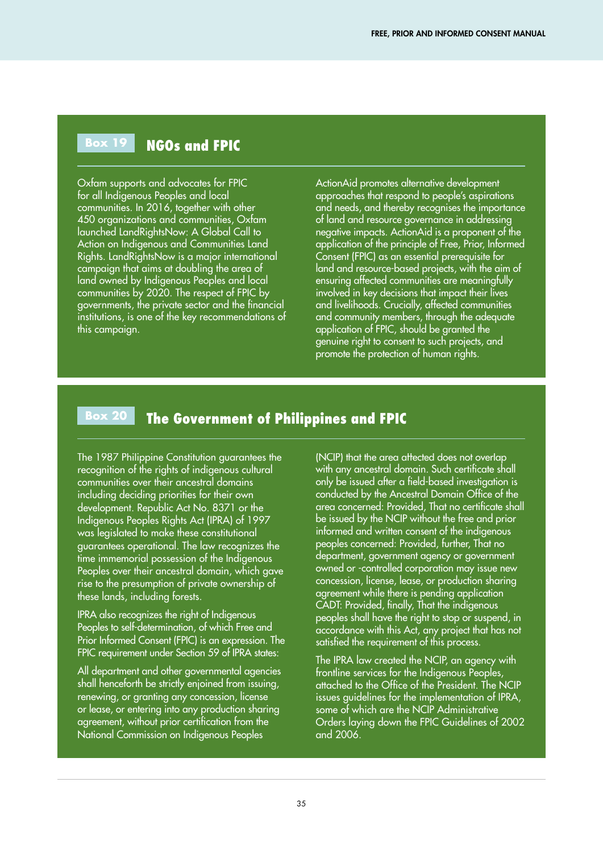#### **Box 19**  NGOs and FPIC

Oxfam supports and advocates for FPIC for all Indigenous Peoples and local communities. In 2016, together with other 450 organizations and communities, Oxfam launched LandRightsNow: A Global Call to Action on Indigenous and Communities Land Rights. LandRightsNow is a major international campaign that aims at doubling the area of land owned by Indigenous Peoples and local communities by 2020. The respect of FPIC by governments, the private sector and the financial institutions, is one of the key recommendations of this campaign.

ActionAid promotes alternative development approaches that respond to people's aspirations and needs, and thereby recognises the importance of land and resource governance in addressing negative impacts. ActionAid is a proponent of the application of the principle of Free, Prior, Informed Consent (FPIC) as an essential prerequisite for land and resource-based projects, with the aim of ensuring affected communities are meaningfully involved in key decisions that impact their lives and livelihoods. Crucially, affected communities and community members, through the adequate application of FPIC, should be granted the genuine right to consent to such projects, and promote the protection of human rights.

#### **Box 20**  The Government of Philippines and FPIC

The 1987 Philippine Constitution guarantees the recognition of the rights of indigenous cultural communities over their ancestral domains including deciding priorities for their own development. Republic Act No. 8371 or the Indigenous Peoples Rights Act (IPRA) of 1997 was legislated to make these constitutional guarantees operational. The law recognizes the time immemorial possession of the Indigenous Peoples over their ancestral domain, which gave rise to the presumption of private ownership of these lands, including forests.

IPRA also recognizes the right of Indigenous Peoples to self-determination, of which Free and Prior Informed Consent (FPIC) is an expression. The FPIC requirement under Section 59 of IPRA states:

All department and other governmental agencies shall henceforth be strictly enjoined from issuing, renewing, or granting any concession, license or lease, or entering into any production sharing agreement, without prior certification from the National Commission on Indigenous Peoples

(NCIP) that the area affected does not overlap with any ancestral domain. Such certificate shall only be issued after a field-based investigation is conducted by the Ancestral Domain Office of the area concerned: Provided, That no certificate shall be issued by the NCIP without the free and prior informed and written consent of the indigenous peoples concerned: Provided, further, That no department, government agency or government owned or -controlled corporation may issue new concession, license, lease, or production sharing agreement while there is pending application CADT: Provided, finally, That the indigenous peoples shall have the right to stop or suspend, in accordance with this Act, any project that has not satisfied the requirement of this process.

The IPRA law created the NCIP, an agency with frontline services for the Indigenous Peoples, attached to the Office of the President. The NCIP issues guidelines for the implementation of IPRA, some of which are the NCIP Administrative Orders laying down the FPIC Guidelines of 2002 and 2006.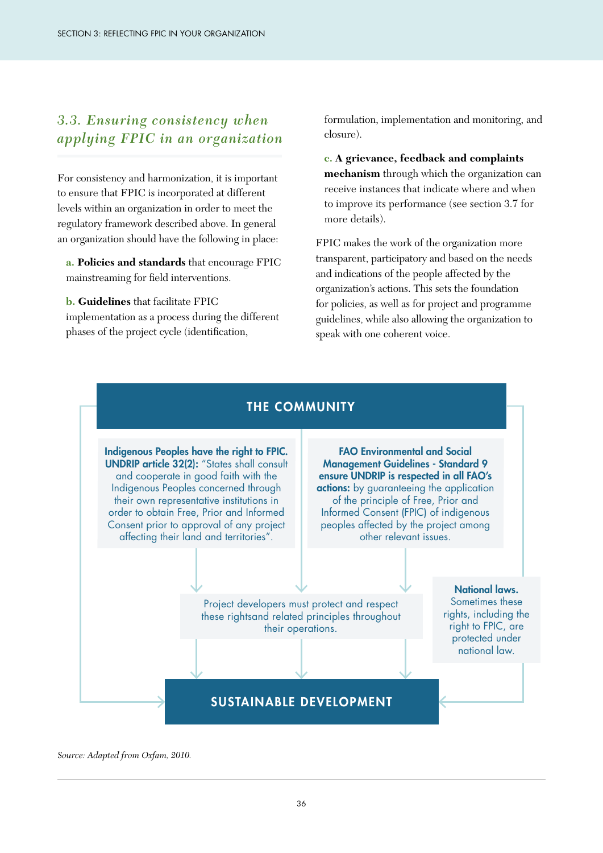### *3.3. Ensuring consistency when applying FPIC in an organization*

For consistency and harmonization, it is important to ensure that FPIC is incorporated at different levels within an organization in order to meet the regulatory framework described above. In general an organization should have the following in place:

**a. Policies and standards** that encourage FPIC mainstreaming for field interventions.

#### **b. Guidelines** that facilitate FPIC

implementation as a process during the different phases of the project cycle (identification,

formulation, implementation and monitoring, and closure).

**c. A grievance, feedback and complaints mechanism** through which the organization can receive instances that indicate where and when to improve its performance (see section 3.7 for more details).

FPIC makes the work of the organization more transparent, participatory and based on the needs and indications of the people affected by the organization's actions. This sets the foundation for policies, as well as for project and programme guidelines, while also allowing the organization to speak with one coherent voice.



#### *Source: Adapted from Oxfam, 2010.*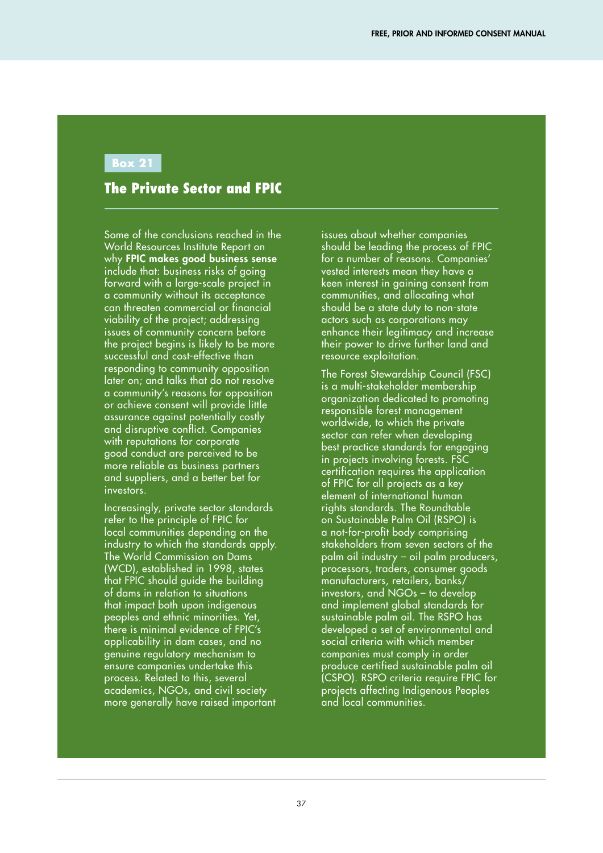#### **Box 21**

#### The Private Sector and FPIC

Some of the conclusions reached in the World Resources Institute Report on why FPIC makes good business sense include that: business risks of going forward with a large-scale project in a community without its acceptance can threaten commercial or financial viability of the project; addressing issues of community concern before the project begins is likely to be more successful and cost-effective than responding to community opposition later on; and talks that do not resolve a community's reasons for opposition or achieve consent will provide little assurance against potentially costly and disruptive conflict. Companies with reputations for corporate good conduct are perceived to be more reliable as business partners and suppliers, and a better bet for investors.

Increasingly, private sector standards refer to the principle of FPIC for local communities depending on the industry to which the standards apply. The World Commission on Dams (WCD), established in 1998, states that FPIC should guide the building of dams in relation to situations that impact both upon indigenous peoples and ethnic minorities. Yet, there is minimal evidence of FPIC's applicability in dam cases, and no genuine regulatory mechanism to ensure companies undertake this process. Related to this, several academics, NGOs, and civil society more generally have raised important

issues about whether companies should be leading the process of FPIC for a number of reasons. Companies' vested interests mean they have a keen interest in gaining consent from communities, and allocating what should be a state duty to non-state actors such as corporations may enhance their legitimacy and increase their power to drive further land and resource exploitation.

The Forest Stewardship Council (FSC) is a multi-stakeholder membership organization dedicated to promoting responsible forest management worldwide, to which the private sector can refer when developing best practice standards for engaging in projects involving forests. FSC certification requires the application of FPIC for all projects as a key element of international human rights standards. The Roundtable on Sustainable Palm Oil (RSPO) is a not-for-profit body comprising stakeholders from seven sectors of the palm oil industry – oil palm producers, processors, traders, consumer goods manufacturers, retailers, banks/ investors, and NGOs – to develop and implement global standards for sustainable palm oil. The RSPO has developed a set of environmental and social criteria with which member companies must comply in order produce certified sustainable palm oil (CSPO). RSPO criteria require FPIC for projects affecting Indigenous Peoples and local communities.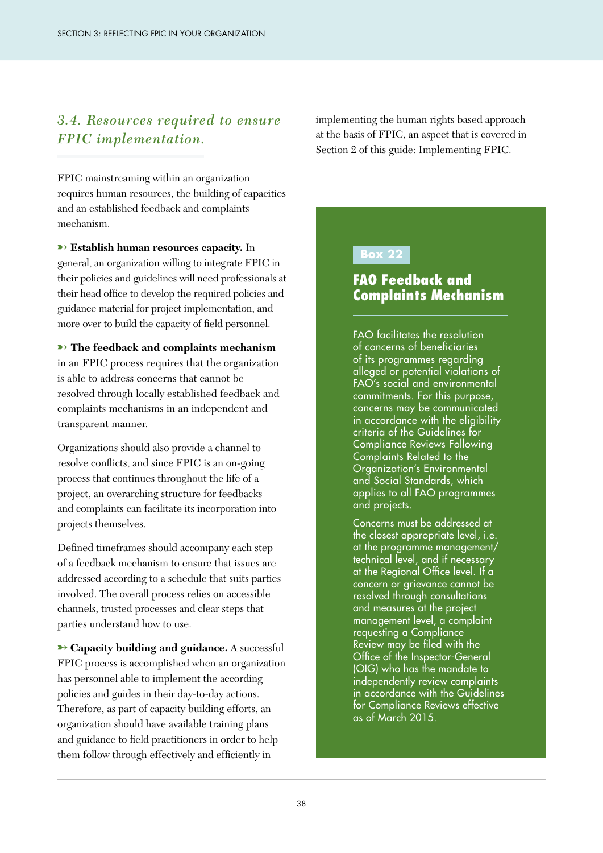#### *3.4. Resources required to ensure FPIC implementation.*

FPIC mainstreaming within an organization requires human resources, the building of capacities and an established feedback and complaints mechanism.

➸ **Establish human resources capacity.** In general, an organization willing to integrate FPIC in their policies and guidelines will need professionals at their head office to develop the required policies and guidance material for project implementation, and more over to build the capacity of field personnel.

**→ The feedback and complaints mechanism** in an FPIC process requires that the organization is able to address concerns that cannot be resolved through locally established feedback and complaints mechanisms in an independent and transparent manner.

Organizations should also provide a channel to resolve conflicts, and since FPIC is an on-going process that continues throughout the life of a project, an overarching structure for feedbacks and complaints can facilitate its incorporation into projects themselves.

Defined timeframes should accompany each step of a feedback mechanism to ensure that issues are addressed according to a schedule that suits parties involved. The overall process relies on accessible channels, trusted processes and clear steps that parties understand how to use.

**→ Capacity building and guidance.** A successful FPIC process is accomplished when an organization has personnel able to implement the according policies and guides in their day-to-day actions. Therefore, as part of capacity building efforts, an organization should have available training plans and guidance to field practitioners in order to help them follow through effectively and efficiently in

implementing the human rights based approach at the basis of FPIC, an aspect that is covered in Section 2 of this guide: Implementing FPIC.

#### **Box 22**

#### FAO Feedback and Complaints Mechanism

FAO facilitates the resolution of concerns of beneficiaries of its programmes regarding alleged or potential violations of FAO's social and environmental commitments. For this purpose, concerns may be communicated in accordance with the eligibility criteria of the Guidelines for Compliance Reviews Following Complaints Related to the Organization's Environmental and Social Standards, which applies to all FAO programmes and projects.

Concerns must be addressed at the closest appropriate level, i.e. at the programme management/ technical level, and if necessary at the Regional Office level. If a concern or grievance cannot be resolved through consultations and measures at the project management level, a complaint requesting a Compliance Review may be filed with the Office of the Inspector-General (OIG) who has the mandate to independently review complaints in accordance with the Guidelines for Compliance Reviews effective as of March 2015.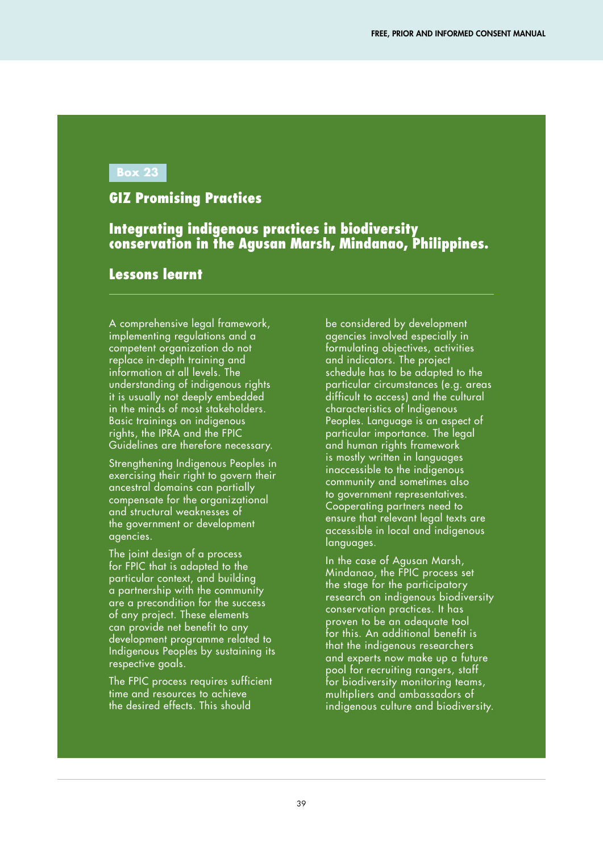#### **Box 23**

#### GIZ Promising Practices

#### Integrating indigenous practices in biodiversity conservation in the Agusan Marsh, Mindanao, Philippines.

#### Lessons learnt

A comprehensive legal framework, implementing regulations and a competent organization do not replace in-depth training and information at all levels. The understanding of indigenous rights it is usually not deeply embedded in the minds of most stakeholders. Basic trainings on indigenous rights, the IPRA and the FPIC Guidelines are therefore necessary.

Strengthening Indigenous Peoples in exercising their right to govern their ancestral domains can partially compensate for the organizational and structural weaknesses of the government or development agencies.

The joint design of a process for FPIC that is adapted to the particular context, and building a partnership with the community are a precondition for the success of any project. These elements can provide net benefit to any development programme related to Indigenous Peoples by sustaining its respective goals.

The FPIC process requires sufficient time and resources to achieve the desired effects. This should

be considered by development agencies involved especially in formulating objectives, activities and indicators. The project schedule has to be adapted to the particular circumstances (e.g. areas difficult to access) and the cultural characteristics of Indigenous Peoples. Language is an aspect of particular importance. The legal and human rights framework is mostly written in languages inaccessible to the indigenous community and sometimes also to government representatives. Cooperating partners need to ensure that relevant legal texts are accessible in local and indigenous languages.

In the case of Agusan Marsh, Mindanao, the FPIC process set the stage for the participatory research on indigenous biodiversity conservation practices. It has proven to be an adequate tool for this. An additional benefit is that the indigenous researchers and experts now make up a future pool for recruiting rangers, staff for biodiversity monitoring teams, multipliers and ambassadors of indigenous culture and biodiversity.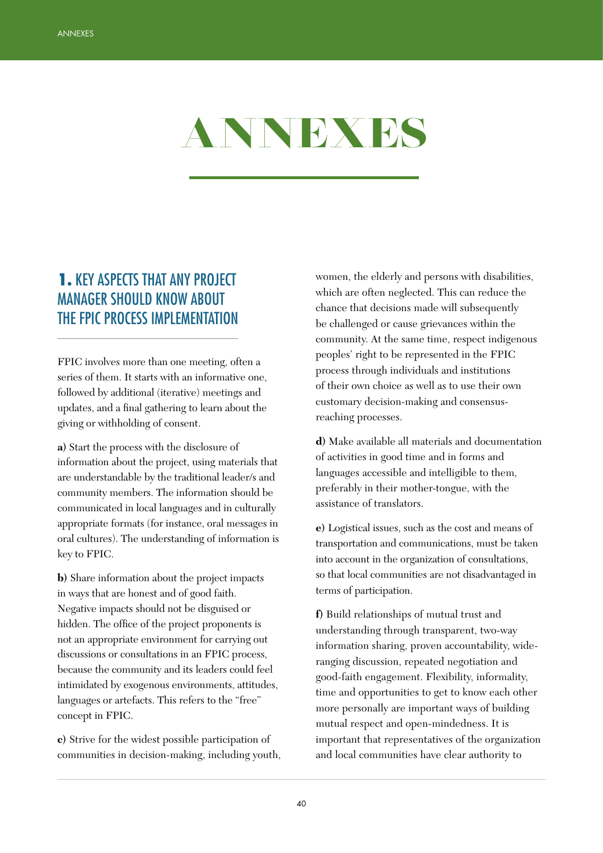

# 1. KEY ASPECTS THAT ANY PROJECT MANAGER SHOULD KNOW ABOUT THE FPIC PROCESS IMPLEMENTATION

FPIC involves more than one meeting, often a series of them. It starts with an informative one, followed by additional (iterative) meetings and updates, and a final gathering to learn about the giving or withholding of consent.

**a)** Start the process with the disclosure of information about the project, using materials that are understandable by the traditional leader/s and community members. The information should be communicated in local languages and in culturally appropriate formats (for instance, oral messages in oral cultures). The understanding of information is key to FPIC.

**b)** Share information about the project impacts in ways that are honest and of good faith. Negative impacts should not be disguised or hidden. The office of the project proponents is not an appropriate environment for carrying out discussions or consultations in an FPIC process, because the community and its leaders could feel intimidated by exogenous environments, attitudes, languages or artefacts. This refers to the "free" concept in FPIC.

**c)** Strive for the widest possible participation of communities in decision-making, including youth, women, the elderly and persons with disabilities, which are often neglected. This can reduce the chance that decisions made will subsequently be challenged or cause grievances within the community. At the same time, respect indigenous peoples' right to be represented in the FPIC process through individuals and institutions of their own choice as well as to use their own customary decision-making and consensusreaching processes.

**d)** Make available all materials and documentation of activities in good time and in forms and languages accessible and intelligible to them, preferably in their mother-tongue, with the assistance of translators.

**e)** Logistical issues, such as the cost and means of transportation and communications, must be taken into account in the organization of consultations, so that local communities are not disadvantaged in terms of participation.

**f)** Build relationships of mutual trust and understanding through transparent, two-way information sharing, proven accountability, wideranging discussion, repeated negotiation and good-faith engagement. Flexibility, informality, time and opportunities to get to know each other more personally are important ways of building mutual respect and open-mindedness. It is important that representatives of the organization and local communities have clear authority to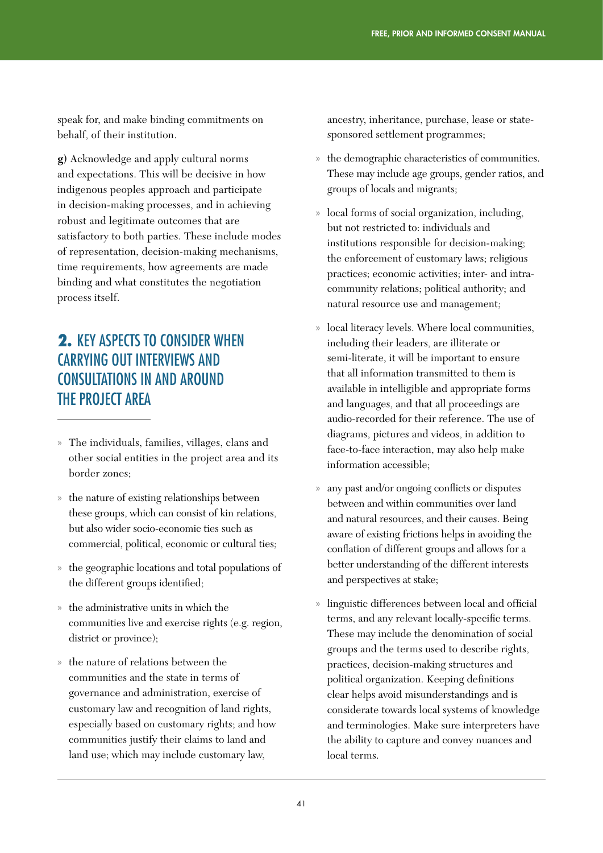speak for, and make binding commitments on behalf, of their institution.

**g)** Acknowledge and apply cultural norms and expectations. This will be decisive in how indigenous peoples approach and participate in decision-making processes, and in achieving robust and legitimate outcomes that are satisfactory to both parties. These include modes of representation, decision-making mechanisms, time requirements, how agreements are made binding and what constitutes the negotiation process itself.

# 2. KEY ASPECTS TO CONSIDER WHEN CARRYING OUT INTERVIEWS AND CONSULTATIONS IN AND AROUND THE PROJECT AREA

- » The individuals, families, villages, clans and other social entities in the project area and its border zones;
- » the nature of existing relationships between these groups, which can consist of kin relations, but also wider socio-economic ties such as commercial, political, economic or cultural ties;
- » the geographic locations and total populations of the different groups identified;
- » the administrative units in which the communities live and exercise rights (e.g. region, district or province);
- » the nature of relations between the communities and the state in terms of governance and administration, exercise of customary law and recognition of land rights, especially based on customary rights; and how communities justify their claims to land and land use; which may include customary law,

ancestry, inheritance, purchase, lease or statesponsored settlement programmes;

- the demographic characteristics of communities. These may include age groups, gender ratios, and groups of locals and migrants;
- » local forms of social organization, including, but not restricted to: individuals and institutions responsible for decision-making; the enforcement of customary laws; religious practices; economic activities; inter- and intracommunity relations; political authority; and natural resource use and management;
- local literacy levels. Where local communities, including their leaders, are illiterate or semi-literate, it will be important to ensure that all information transmitted to them is available in intelligible and appropriate forms and languages, and that all proceedings are audio-recorded for their reference. The use of diagrams, pictures and videos, in addition to face-to-face interaction, may also help make information accessible;
- any past and/or ongoing conflicts or disputes between and within communities over land and natural resources, and their causes. Being aware of existing frictions helps in avoiding the conflation of different groups and allows for a better understanding of the different interests and perspectives at stake;
- » linguistic differences between local and official terms, and any relevant locally-specific terms. These may include the denomination of social groups and the terms used to describe rights, practices, decision-making structures and political organization. Keeping definitions clear helps avoid misunderstandings and is considerate towards local systems of knowledge and terminologies. Make sure interpreters have the ability to capture and convey nuances and local terms.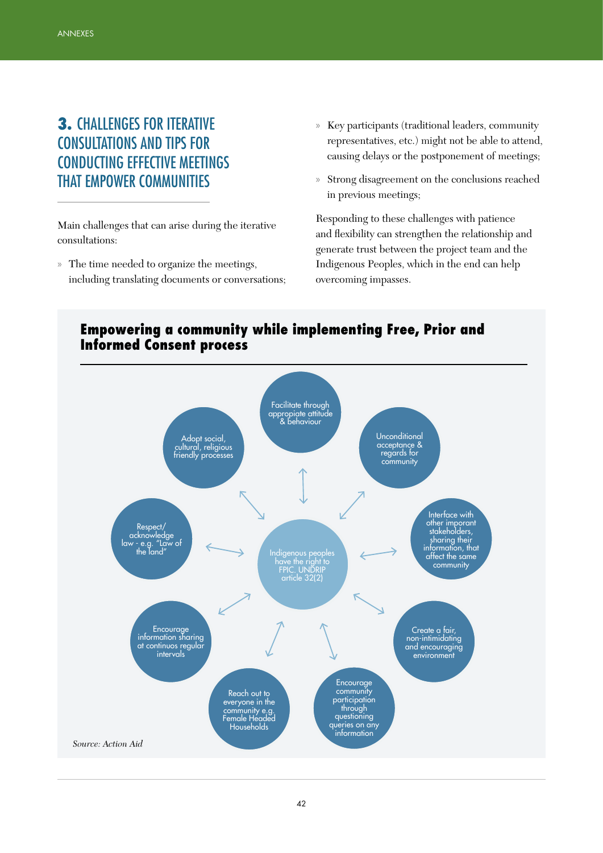# 3. CHALLENGES FOR ITERATIVE CONSULTATIONS AND TIPS FOR CONDUCTING EFFECTIVE MEETINGS THAT EMPOWER COMMUNITIES

Main challenges that can arise during the iterative consultations:

» The time needed to organize the meetings, including translating documents or conversations;

- » Key participants (traditional leaders, community representatives, etc.) might not be able to attend, causing delays or the postponement of meetings;
- » Strong disagreement on the conclusions reached in previous meetings;

Responding to these challenges with patience and flexibility can strengthen the relationship and generate trust between the project team and the Indigenous Peoples, which in the end can help overcoming impasses.



#### Empowering a community while implementing Free, Prior and Informed Consent process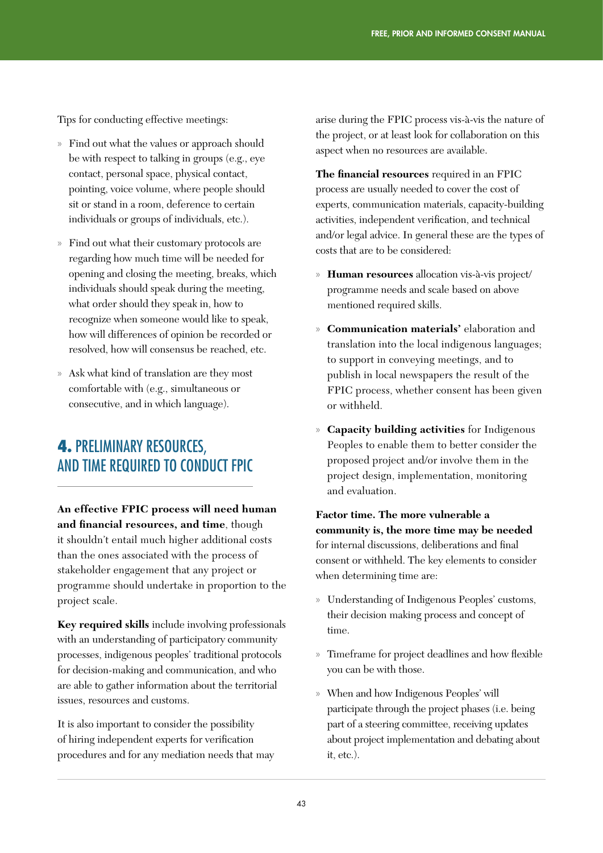Tips for conducting effective meetings:

- » Find out what the values or approach should be with respect to talking in groups (e.g., eye contact, personal space, physical contact, pointing, voice volume, where people should sit or stand in a room, deference to certain individuals or groups of individuals, etc.).
- » Find out what their customary protocols are regarding how much time will be needed for opening and closing the meeting, breaks, which individuals should speak during the meeting, what order should they speak in, how to recognize when someone would like to speak, how will differences of opinion be recorded or resolved, how will consensus be reached, etc.
- » Ask what kind of translation are they most comfortable with (e.g., simultaneous or consecutive, and in which language).

## 4. PRELIMINARY RESOURCES, AND TIME REQUIRED TO CONDUCT FPIC

**An effective FPIC process will need human and financial resources, and time**, though it shouldn't entail much higher additional costs than the ones associated with the process of stakeholder engagement that any project or programme should undertake in proportion to the project scale.

**Key required skills** include involving professionals with an understanding of participatory community processes, indigenous peoples' traditional protocols for decision-making and communication, and who are able to gather information about the territorial issues, resources and customs.

It is also important to consider the possibility of hiring independent experts for verification procedures and for any mediation needs that may arise during the FPIC process vis-à-vis the nature of the project, or at least look for collaboration on this aspect when no resources are available.

**The financial resources** required in an FPIC process are usually needed to cover the cost of experts, communication materials, capacity-building activities, independent verification, and technical and/or legal advice. In general these are the types of costs that are to be considered:

- » **Human resources** allocation vis-à-vis project/ programme needs and scale based on above mentioned required skills.
- **Communication materials'** elaboration and translation into the local indigenous languages; to support in conveying meetings, and to publish in local newspapers the result of the FPIC process, whether consent has been given or withheld.
- » **Capacity building activities** for Indigenous Peoples to enable them to better consider the proposed project and/or involve them in the project design, implementation, monitoring and evaluation.

**Factor time. The more vulnerable a community is, the more time may be needed**  for internal discussions, deliberations and final consent or withheld. The key elements to consider when determining time are:

- » Understanding of Indigenous Peoples' customs, their decision making process and concept of time.
- » Timeframe for project deadlines and how flexible you can be with those.
- » When and how Indigenous Peoples' will participate through the project phases (i.e. being part of a steering committee, receiving updates about project implementation and debating about it, etc.).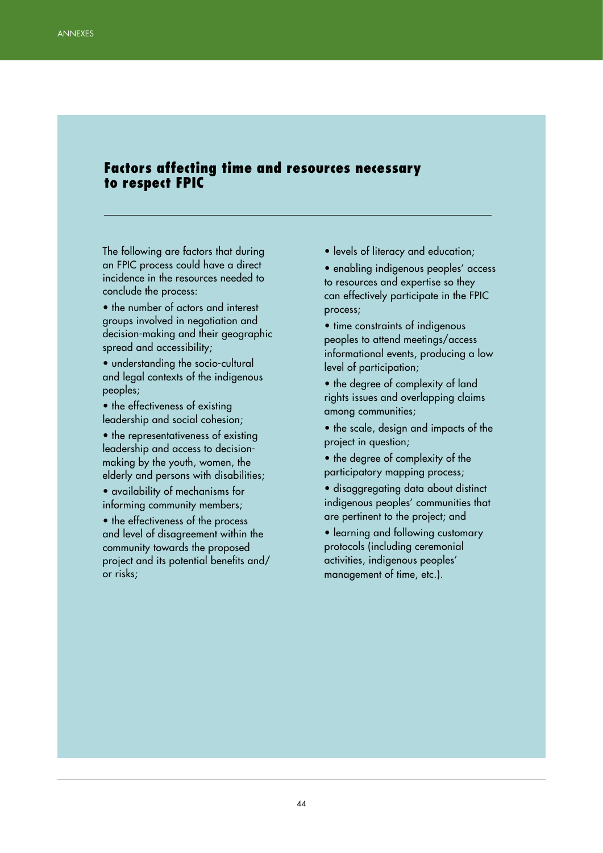#### Factors affecting time and resources necessary to respect FPIC

The following are factors that during an FPIC process could have a direct incidence in the resources needed to conclude the process:

- the number of actors and interest groups involved in negotiation and decision-making and their geographic spread and accessibility;
- understanding the socio-cultural and legal contexts of the indigenous peoples;
- the effectiveness of existing leadership and social cohesion;
- the representativeness of existing leadership and access to decisionmaking by the youth, women, the elderly and persons with disabilities;
- availability of mechanisms for informing community members;

• the effectiveness of the process and level of disagreement within the community towards the proposed project and its potential benefits and/ or risks;

- levels of literacy and education;
- enabling indigenous peoples' access to resources and expertise so they can effectively participate in the FPIC process;
- time constraints of indigenous peoples to attend meetings/access informational events, producing a low level of participation;
- the degree of complexity of land rights issues and overlapping claims among communities;
- the scale, design and impacts of the project in question;
- the degree of complexity of the participatory mapping process;
- disaggregating data about distinct indigenous peoples' communities that are pertinent to the project; and
- learning and following customary protocols (including ceremonial activities, indigenous peoples' management of time, etc.).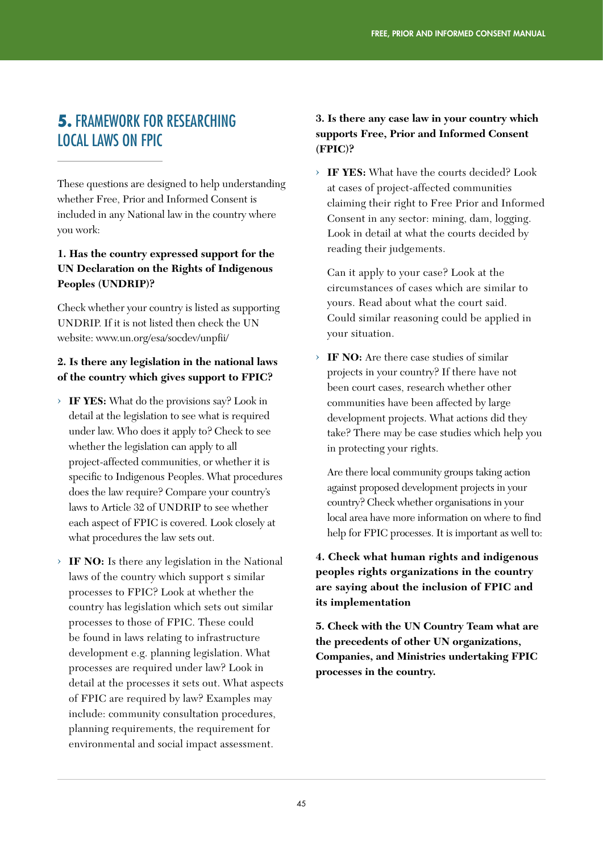## 5. FRAMEWORK FOR RESEARCHING LOCAL LAWS ON FPIC

These questions are designed to help understanding whether Free, Prior and Informed Consent is included in any National law in the country where you work:

#### **1. Has the country expressed support for the UN Declaration on the Rights of Indigenous Peoples (UNDRIP)?**

Check whether your country is listed as supporting UNDRIP. If it is not listed then check the UN website: www.un.org/esa/socdev/unpfii/

#### **2. Is there any legislation in the national laws of the country which gives support to FPIC?**

- › **IF YES:** What do the provisions say? Look in detail at the legislation to see what is required under law. Who does it apply to? Check to see whether the legislation can apply to all project-affected communities, or whether it is specific to Indigenous Peoples. What procedures does the law require? Compare your country's laws to Article 32 of UNDRIP to see whether each aspect of FPIC is covered. Look closely at what procedures the law sets out.
- › **IF NO:** Is there any legislation in the National laws of the country which support s similar processes to FPIC? Look at whether the country has legislation which sets out similar processes to those of FPIC. These could be found in laws relating to infrastructure development e.g. planning legislation. What processes are required under law? Look in detail at the processes it sets out. What aspects of FPIC are required by law? Examples may include: community consultation procedures, planning requirements, the requirement for environmental and social impact assessment.

#### **3. Is there any case law in your country which supports Free, Prior and Informed Consent (FPIC)?**

› **IF YES:** What have the courts decided? Look at cases of project-affected communities claiming their right to Free Prior and Informed Consent in any sector: mining, dam, logging. Look in detail at what the courts decided by reading their judgements.

Can it apply to your case? Look at the circumstances of cases which are similar to yours. Read about what the court said. Could similar reasoning could be applied in your situation.

› **IF NO:** Are there case studies of similar projects in your country? If there have not been court cases, research whether other communities have been affected by large development projects. What actions did they take? There may be case studies which help you in protecting your rights.

Are there local community groups taking action against proposed development projects in your country? Check whether organisations in your local area have more information on where to find help for FPIC processes. It is important as well to:

#### **4. Check what human rights and indigenous peoples rights organizations in the country are saying about the inclusion of FPIC and its implementation**

**5. Check with the UN Country Team what are the precedents of other UN organizations, Companies, and Ministries undertaking FPIC processes in the country.**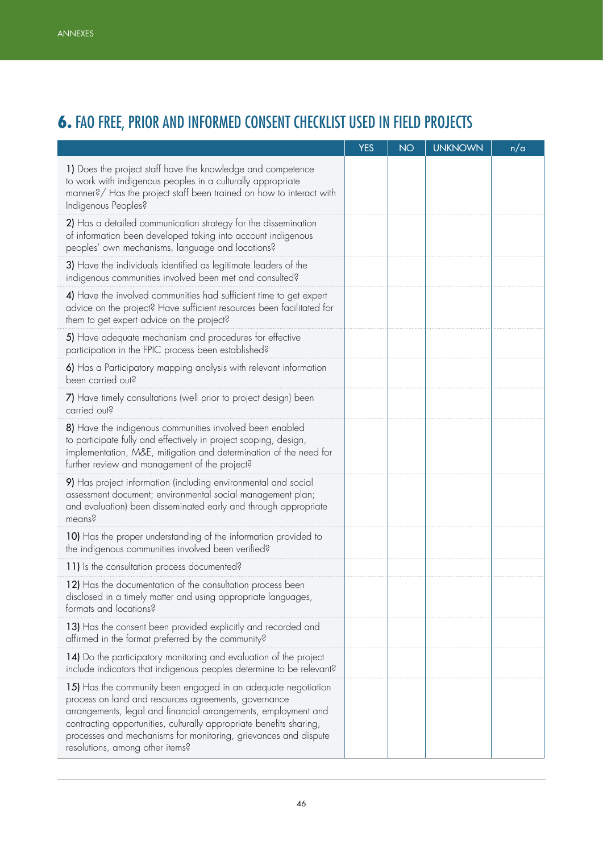# 6. FAO FREE, PRIOR AND INFORMED CONSENT CHECKLIST USED IN FIELD PROJECTS

|                                                                                                                                                                                                                                                                                                                                                                      | <b>YES</b> | <b>NO</b> | <b>UNKNOWN</b> | n/a |
|----------------------------------------------------------------------------------------------------------------------------------------------------------------------------------------------------------------------------------------------------------------------------------------------------------------------------------------------------------------------|------------|-----------|----------------|-----|
| 1) Does the project staff have the knowledge and competence<br>to work with indigenous peoples in a culturally appropriate<br>manner?/ Has the project staff been trained on how to interact with<br>Indigenous Peoples?                                                                                                                                             |            |           |                |     |
| 2) Has a detailed communication strategy for the dissemination<br>of information been developed taking into account indigenous<br>peoples' own mechanisms, language and locations?                                                                                                                                                                                   |            |           |                |     |
| 3) Have the individuals identified as legitimate leaders of the<br>indigenous communities involved been met and consulted?                                                                                                                                                                                                                                           |            |           |                |     |
| 4) Have the involved communities had sufficient time to get expert<br>advice on the project? Have sufficient resources been facilitated for<br>them to get expert advice on the project?                                                                                                                                                                             |            |           |                |     |
| 5) Have adequate mechanism and procedures for effective<br>participation in the FPIC process been established?                                                                                                                                                                                                                                                       |            |           |                |     |
| 6) Has a Participatory mapping analysis with relevant information<br>been carried out?                                                                                                                                                                                                                                                                               |            |           |                |     |
| 7) Have timely consultations (well prior to project design) been<br>carried out?                                                                                                                                                                                                                                                                                     |            |           |                |     |
| 8) Have the indigenous communities involved been enabled<br>to participate fully and effectively in project scoping, design,<br>implementation, M&E, mitigation and determination of the need for<br>further review and management of the project?                                                                                                                   |            |           |                |     |
| 9) Has project information (including environmental and social<br>assessment document; environmental social management plan;<br>and evaluation) been disseminated early and through appropriate<br>means?                                                                                                                                                            |            |           |                |     |
| 10) Has the proper understanding of the information provided to<br>the indigenous communities involved been verified?                                                                                                                                                                                                                                                |            |           |                |     |
| 11) Is the consultation process documented?                                                                                                                                                                                                                                                                                                                          |            |           |                |     |
| 12) Has the documentation of the consultation process been<br>disclosed in a timely matter and using appropriate languages,<br>formats and locations?                                                                                                                                                                                                                |            |           |                |     |
| 13) Has the consent been provided explicitly and recorded and<br>affirmed in the format preferred by the community?                                                                                                                                                                                                                                                  |            |           |                |     |
| 14) Do the participatory monitoring and evaluation of the project<br>include indicators that indigenous peoples determine to be relevant?                                                                                                                                                                                                                            |            |           |                |     |
| 15) Has the community been engaged in an adequate negotiation<br>process on land and resources agreements, governance<br>arrangements, legal and financial arrangements, employment and<br>contracting opportunities, culturally appropriate benefits sharing,<br>processes and mechanisms for monitoring, grievances and dispute<br>resolutions, among other items? |            |           |                |     |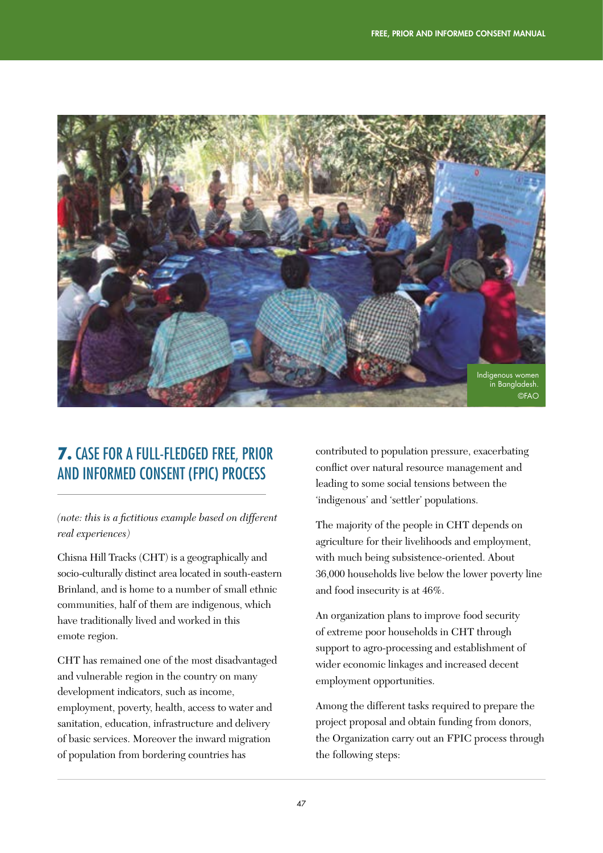

# 7. CASE FOR A FULL-FLEDGED FREE, PRIOR AND INFORMED CONSENT (FPIC) PROCESS

*(note: this is a fictitious example based on different real experiences)*

Chisna Hill Tracks (CHT) is a geographically and socio-culturally distinct area located in south-eastern Brinland, and is home to a number of small ethnic communities, half of them are indigenous, which have traditionally lived and worked in this emote region.

CHT has remained one of the most disadvantaged and vulnerable region in the country on many development indicators, such as income, employment, poverty, health, access to water and sanitation, education, infrastructure and delivery of basic services. Moreover the inward migration of population from bordering countries has

contributed to population pressure, exacerbating conflict over natural resource management and leading to some social tensions between the 'indigenous' and 'settler' populations.

The majority of the people in CHT depends on agriculture for their livelihoods and employment, with much being subsistence-oriented. About 36,000 households live below the lower poverty line and food insecurity is at 46%.

An organization plans to improve food security of extreme poor households in CHT through support to agro-processing and establishment of wider economic linkages and increased decent employment opportunities.

Among the different tasks required to prepare the project proposal and obtain funding from donors, the Organization carry out an FPIC process through the following steps: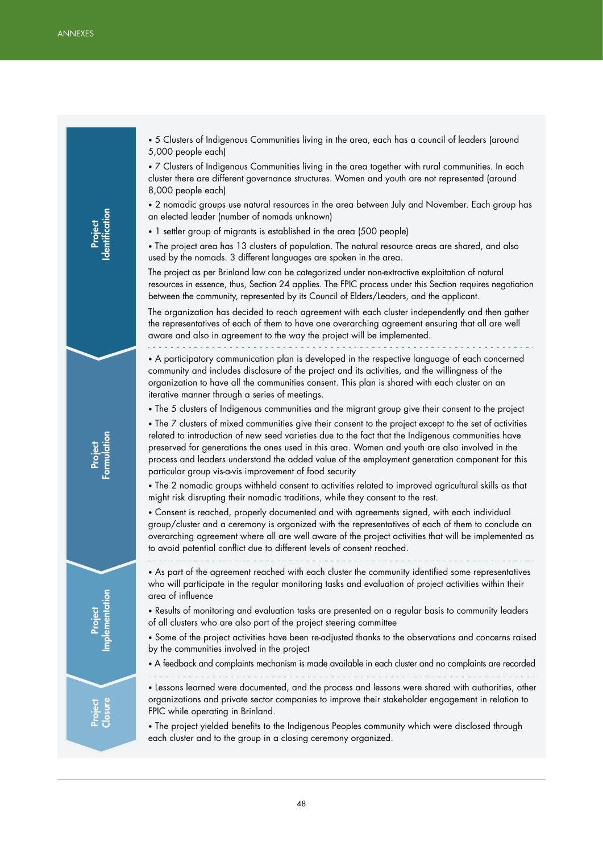Project Identification Project Formulation Project Implementation Project Closure

• 5 Clusters of Indigenous Communities living in the area, each has a council of leaders (around 5,000 people each)

• 7 Clusters of Indigenous Communities living in the area together with rural communities. In each cluster there are different governance structures. Women and youth are not represented (around 8,000 people each)

• 2 nomadic groups use natural resources in the area between July and November. Each group has an elected leader (number of nomads unknown)

• 1 settler group of migrants is established in the area (500 people)

• The project area has 13 clusters of population. The natural resource areas are shared, and also used by the nomads. 3 different languages are spoken in the area.

The project as per Brinland law can be categorized under non-extractive exploitation of natural resources in essence, thus, Section 24 applies. The FPIC process under this Section requires negotiation between the community, represented by its Council of Elders/Leaders, and the applicant.

The organization has decided to reach agreement with each cluster independently and then gather the representatives of each of them to have one overarching agreement ensuring that all are well aware and also in agreement to the way the project will be implemented.

• A participatory communication plan is developed in the respective language of each concerned community and includes disclosure of the project and its activities, and the willingness of the organization to have all the communities consent. This plan is shared with each cluster on an iterative manner through a series of meetings.

• The 5 clusters of Indigenous communities and the migrant group give their consent to the project

• The 7 clusters of mixed communities give their consent to the project except to the set of activities related to introduction of new seed varieties due to the fact that the Indigenous communities have preserved for generations the ones used in this area. Women and youth are also involved in the process and leaders understand the added value of the employment generation component for this particular group vis-a-vis improvement of food security

• The 2 nomadic groups withheld consent to activities related to improved agricultural skills as that might risk disrupting their nomadic traditions, while they consent to the rest.

• Consent is reached, properly documented and with agreements signed, with each individual group/cluster and a ceremony is organized with the representatives of each of them to conclude an overarching agreement where all are well aware of the project activities that will be implemented as to avoid potential conflict due to different levels of consent reached.

• As part of the agreement reached with each cluster the community identified some representatives who will participate in the regular monitoring tasks and evaluation of project activities within their area of influence

• Results of monitoring and evaluation tasks are presented on a regular basis to community leaders of all clusters who are also part of the project steering committee

• Some of the project activities have been re-adjusted thanks to the observations and concerns raised by the communities involved in the project

• A feedback and complaints mechanism is made available in each cluster and no complaints are recorded

• Lessons learned were documented, and the process and lessons were shared with authorities, other organizations and private sector companies to improve their stakeholder engagement in relation to FPIC while operating in Brinland.

• The project yielded benefits to the Indigenous Peoples community which were disclosed through each cluster and to the group in a closing ceremony organized.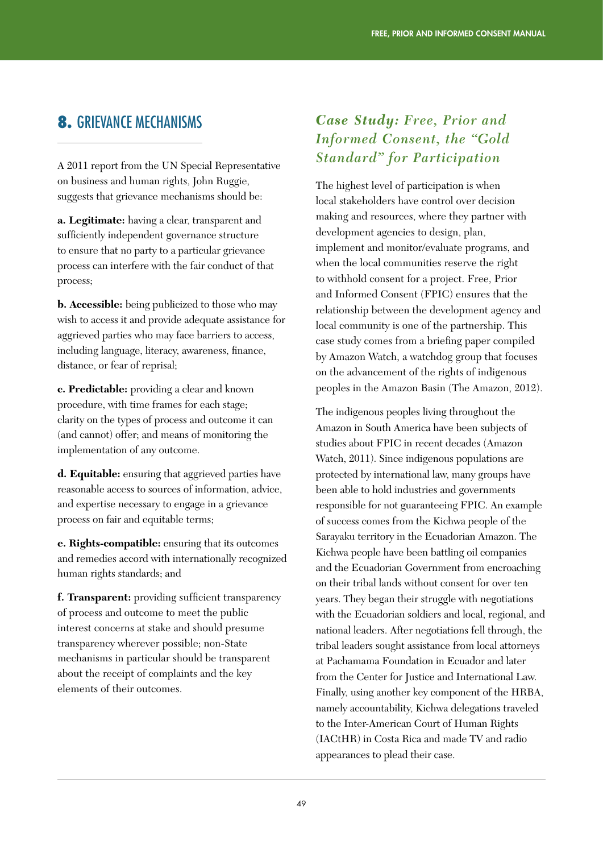## 8. GRIEVANCE MECHANISMS

A 2011 report from the UN Special Representative on business and human rights, John Ruggie, suggests that grievance mechanisms should be:

**a. Legitimate:** having a clear, transparent and sufficiently independent governance structure to ensure that no party to a particular grievance process can interfere with the fair conduct of that process;

**b. Accessible:** being publicized to those who may wish to access it and provide adequate assistance for aggrieved parties who may face barriers to access, including language, literacy, awareness, finance, distance, or fear of reprisal;

**c. Predictable:** providing a clear and known procedure, with time frames for each stage; clarity on the types of process and outcome it can (and cannot) offer; and means of monitoring the implementation of any outcome.

**d. Equitable:** ensuring that aggrieved parties have reasonable access to sources of information, advice, and expertise necessary to engage in a grievance process on fair and equitable terms;

**e. Rights-compatible:** ensuring that its outcomes and remedies accord with internationally recognized human rights standards; and

**f. Transparent:** providing sufficient transparency of process and outcome to meet the public interest concerns at stake and should presume transparency wherever possible; non-State mechanisms in particular should be transparent about the receipt of complaints and the key elements of their outcomes.

### *Case Study: Free, Prior and Informed Consent, the "Gold Standard" for Participation*

The highest level of participation is when local stakeholders have control over decision making and resources, where they partner with development agencies to design, plan, implement and monitor/evaluate programs, and when the local communities reserve the right to withhold consent for a project. Free, Prior and Informed Consent (FPIC) ensures that the relationship between the development agency and local community is one of the partnership. This case study comes from a briefing paper compiled by Amazon Watch, a watchdog group that focuses on the advancement of the rights of indigenous peoples in the Amazon Basin (The Amazon, 2012).

The indigenous peoples living throughout the Amazon in South America have been subjects of studies about FPIC in recent decades (Amazon Watch, 2011). Since indigenous populations are protected by international law, many groups have been able to hold industries and governments responsible for not guaranteeing FPIC. An example of success comes from the Kichwa people of the Sarayaku territory in the Ecuadorian Amazon. The Kichwa people have been battling oil companies and the Ecuadorian Government from encroaching on their tribal lands without consent for over ten years. They began their struggle with negotiations with the Ecuadorian soldiers and local, regional, and national leaders. After negotiations fell through, the tribal leaders sought assistance from local attorneys at Pachamama Foundation in Ecuador and later from the Center for Justice and International Law. Finally, using another key component of the HRBA, namely accountability, Kichwa delegations traveled to the Inter-American Court of Human Rights (IACtHR) in Costa Rica and made TV and radio appearances to plead their case.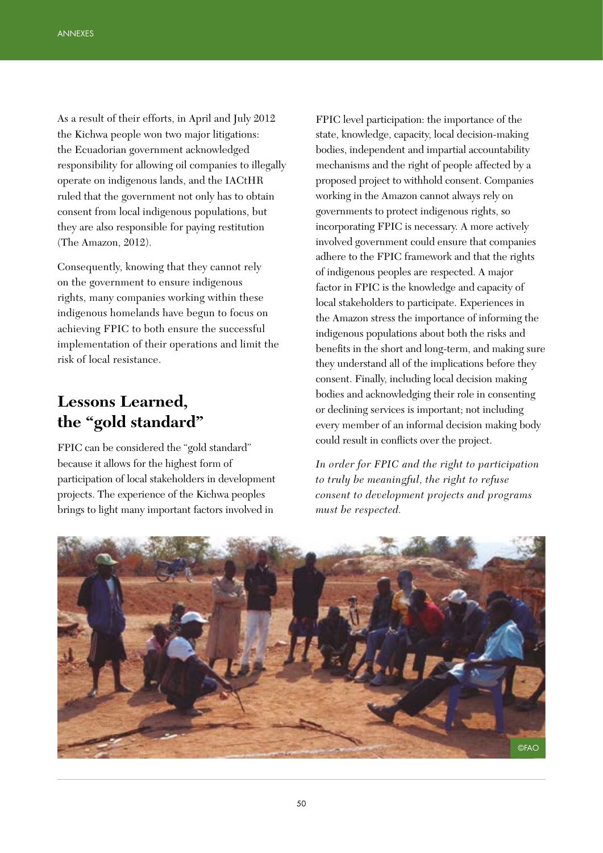As a result of their efforts, in April and July 2012 the Kichwa people won two major litigations: the Ecuadorian government acknowledged responsibility for allowing oil companies to illegally operate on indigenous lands, and the IACtHR ruled that the government not only has to obtain consent from local indigenous populations, but they are also responsible for paying restitution (The Amazon, 2012).

Consequently, knowing that they cannot rely on the government to ensure indigenous rights, many companies working within these indigenous homelands have begun to focus on achieving FPIC to both ensure the successful implementation of their operations and limit the risk of local resistance.

# **Lessons Learned, the "gold standard"**

FPIC can be considered the "gold standard" because it allows for the highest form of participation of local stakeholders in development projects. The experience of the Kichwa peoples brings to light many important factors involved in

FPIC level participation: the importance of the state, knowledge, capacity, local decision-making bodies, independent and impartial accountability mechanisms and the right of people affected by a proposed project to withhold consent. Companies working in the Amazon cannot always rely on governments to protect indigenous rights, so incorporating FPIC is necessary. A more actively involved government could ensure that companies adhere to the FPIC framework and that the rights of indigenous peoples are respected. A major factor in FPIC is the knowledge and capacity of local stakeholders to participate. Experiences in the Amazon stress the importance of informing the indigenous populations about both the risks and benefits in the short and long-term, and making sure they understand all of the implications before they consent. Finally, including local decision making bodies and acknowledging their role in consenting or declining services is important; not including every member of an informal decision making body could result in conflicts over the project.

*In order for FPIC and the right to participation to truly be meaningful, the right to refuse consent to development projects and programs must be respected.*

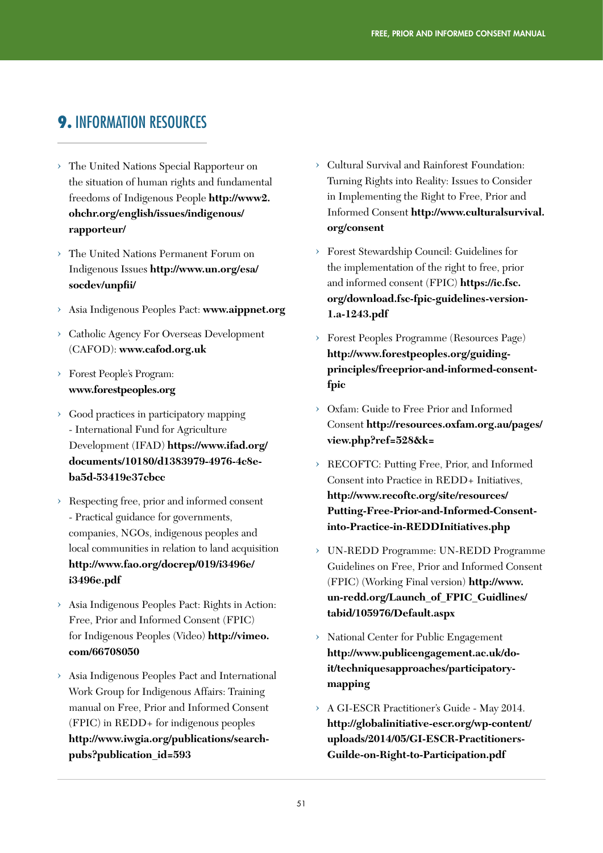## **9. INFORMATION RESOURCES**

- › The United Nations Special Rapporteur on the situation of human rights and fundamental freedoms of Indigenous People **http://www2. ohchr.org/english/issues/indigenous/ rapporteur/**
- › The United Nations Permanent Forum on Indigenous Issues **http://www.un.org/esa/ socdev/unpfii/**
- › Asia Indigenous Peoples Pact: **www.aippnet.org**
- › Catholic Agency For Overseas Development (CAFOD): **www.cafod.org.uk**
- › Forest People's Program: **www.forestpeoples.org**
- › Good practices in participatory mapping - International Fund for Agriculture Development (IFAD) **https://www.ifad.org/ documents/10180/d1383979-4976-4c8eba5d-53419e37cbcc**
- › Respecting free, prior and informed consent - Practical guidance for governments, companies, NGOs, indigenous peoples and local communities in relation to land acquisition **http://www.fao.org/docrep/019/i3496e/ i3496e.pdf**
- › Asia Indigenous Peoples Pact: Rights in Action: Free, Prior and Informed Consent (FPIC) for Indigenous Peoples (Video) **http://vimeo. com/66708050**
- › Asia Indigenous Peoples Pact and International Work Group for Indigenous Affairs: Training manual on Free, Prior and Informed Consent (FPIC) in REDD+ for indigenous peoples **http://www.iwgia.org/publications/searchpubs?publication\_id=593**
- › Cultural Survival and Rainforest Foundation: Turning Rights into Reality: Issues to Consider in Implementing the Right to Free, Prior and Informed Consent **http://www.culturalsurvival. org/consent**
- › Forest Stewardship Council: Guidelines for the implementation of the right to free, prior and informed consent (FPIC) **https://ic.fsc. org/download.fsc-fpic-guidelines-version-1.a-1243.pdf**
- › Forest Peoples Programme (Resources Page) **http://www.forestpeoples.org/guidingprinciples/freeprior-and-informed-consentfpic**
- › Oxfam: Guide to Free Prior and Informed Consent **http://resources.oxfam.org.au/pages/ view.php?ref=528&k=**
- › RECOFTC: Putting Free, Prior, and Informed Consent into Practice in REDD+ Initiatives, **http://www.recoftc.org/site/resources/ Putting-Free-Prior-and-Informed-Consentinto-Practice-in-REDDInitiatives.php**
- › UN-REDD Programme: UN-REDD Programme Guidelines on Free, Prior and Informed Consent (FPIC) (Working Final version) **http://www. un-redd.org/Launch\_of\_FPIC\_Guidlines/ tabid/105976/Default.aspx**
- National Center for Public Engagement **http://www.publicengagement.ac.uk/doit/techniquesapproaches/participatorymapping**
- › A GI-ESCR Practitioner's Guide May 2014. **http://globalinitiative-escr.org/wp-content/ uploads/2014/05/GI-ESCR-Practitioners-Guilde-on-Right-to-Participation.pdf**